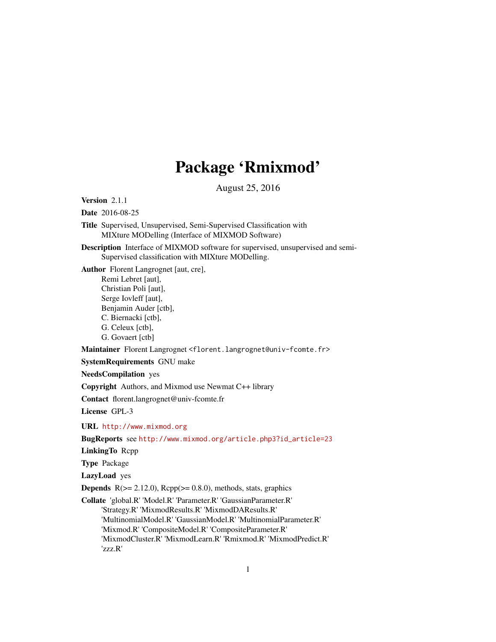# Package 'Rmixmod'

August 25, 2016

Version 2.1.1

Date 2016-08-25

Title Supervised, Unsupervised, Semi-Supervised Classification with MIXture MODelling (Interface of MIXMOD Software)

Description Interface of MIXMOD software for supervised, unsupervised and semi-Supervised classification with MIXture MODelling.

Author Florent Langrognet [aut, cre], Remi Lebret [aut],

> Christian Poli [aut], Serge Iovleff [aut], Benjamin Auder [ctb],

C. Biernacki [ctb],

G. Celeux [ctb],

G. Govaert [ctb]

Maintainer Florent Langrognet <florent.langrognet@univ-fcomte.fr>

SystemRequirements GNU make

NeedsCompilation yes

Copyright Authors, and Mixmod use Newmat C++ library

Contact florent.langrognet@univ-fcomte.fr

License GPL-3

URL <http://www.mixmod.org>

BugReports see [http://www.mixmod.org/article.php3?id\\_article=23](http://www.mixmod.org/article.php3?id_article=23)

LinkingTo Rcpp

Type Package

LazyLoad yes

**Depends**  $R$ ( $>= 2.12.0$ ),  $Rcpp$ ( $>= 0.8.0$ ), methods, stats, graphics

Collate 'global.R' 'Model.R' 'Parameter.R' 'GaussianParameter.R' 'Strategy.R' 'MixmodResults.R' 'MixmodDAResults.R' 'MultinomialModel.R' 'GaussianModel.R' 'MultinomialParameter.R' 'Mixmod.R' 'CompositeModel.R' 'CompositeParameter.R' 'MixmodCluster.R' 'MixmodLearn.R' 'Rmixmod.R' 'MixmodPredict.R' 'zzz.R'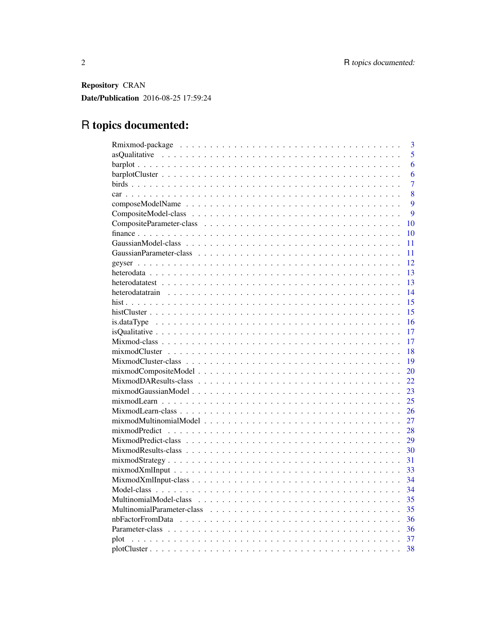Repository CRAN Date/Publication 2016-08-25 17:59:24

## R topics documented:

| 3                                                                                                                      |
|------------------------------------------------------------------------------------------------------------------------|
| $\overline{5}$                                                                                                         |
| 6                                                                                                                      |
| 6                                                                                                                      |
| 7                                                                                                                      |
| 8                                                                                                                      |
| $\overline{Q}$                                                                                                         |
| 9                                                                                                                      |
| 10                                                                                                                     |
| 10                                                                                                                     |
| 11                                                                                                                     |
| 11                                                                                                                     |
| 12                                                                                                                     |
| 13                                                                                                                     |
| 13                                                                                                                     |
| 14                                                                                                                     |
| 15                                                                                                                     |
| 15                                                                                                                     |
| 16                                                                                                                     |
| 17                                                                                                                     |
| 17                                                                                                                     |
|                                                                                                                        |
| 18                                                                                                                     |
| 19                                                                                                                     |
| 20                                                                                                                     |
| 22                                                                                                                     |
| 23                                                                                                                     |
| 25                                                                                                                     |
| 26                                                                                                                     |
| 27                                                                                                                     |
| 28                                                                                                                     |
| 29                                                                                                                     |
| 30                                                                                                                     |
| $mixmodStrategy \dots \dots \dots \dots \dots \dots \dots \dots \dots \dots \dots \dots \dots \dots \dots \dots$<br>31 |
| 33                                                                                                                     |
| 34                                                                                                                     |
| 34                                                                                                                     |
| 35                                                                                                                     |
| 35                                                                                                                     |
| 36                                                                                                                     |
| 36                                                                                                                     |
| 37<br>plot                                                                                                             |
| 38                                                                                                                     |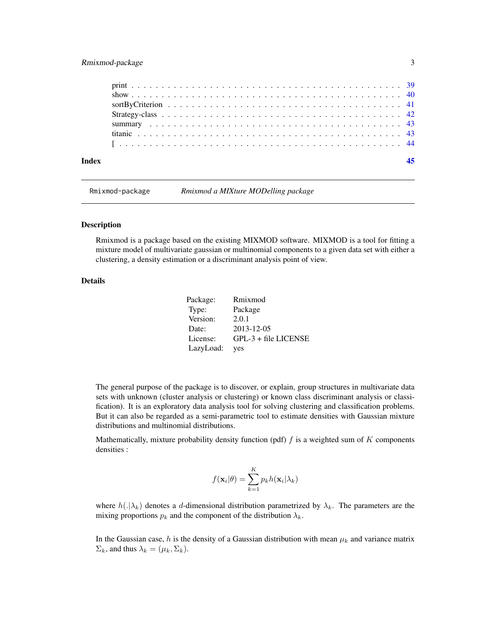## <span id="page-2-0"></span>Rmixmod-package 3

Rmixmod-package *Rmixmod a MIXture MODelling package*

#### Description

Rmixmod is a package based on the existing MIXMOD software. MIXMOD is a tool for fitting a mixture model of multivariate gaussian or multinomial components to a given data set with either a clustering, a density estimation or a discriminant analysis point of view.

## Details

| Package:  | Rmixmod                |
|-----------|------------------------|
| Type:     | Package                |
| Version:  | 2.0.1                  |
| Date:     | 2013-12-05             |
| License:  | $GPL-3 + file LICENSE$ |
| LazyLoad: | ves                    |

The general purpose of the package is to discover, or explain, group structures in multivariate data sets with unknown (cluster analysis or clustering) or known class discriminant analysis or classification). It is an exploratory data analysis tool for solving clustering and classification problems. But it can also be regarded as a semi-parametric tool to estimate densities with Gaussian mixture distributions and multinomial distributions.

Mathematically, mixture probability density function (pdf)  $f$  is a weighted sum of  $K$  components densities :

$$
f(\mathbf{x}_i|\theta) = \sum_{k=1}^K p_k h(\mathbf{x}_i|\lambda_k)
$$

where  $h(|\lambda_k)$  denotes a d-dimensional distribution parametrized by  $\lambda_k$ . The parameters are the mixing proportions  $p_k$  and the component of the distribution  $\lambda_k$ .

In the Gaussian case, h is the density of a Gaussian distribution with mean  $\mu_k$  and variance matrix  $\Sigma_k$ , and thus  $\lambda_k = (\mu_k, \Sigma_k)$ .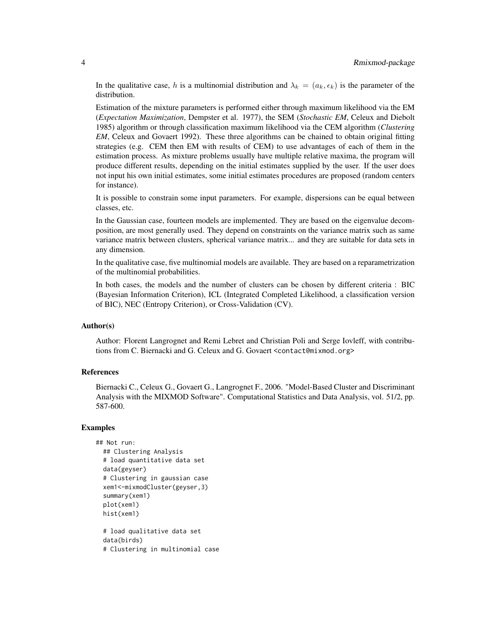In the qualitative case, h is a multinomial distribution and  $\lambda_k = (a_k, \epsilon_k)$  is the parameter of the distribution.

Estimation of the mixture parameters is performed either through maximum likelihood via the EM (*Expectation Maximization*, Dempster et al. 1977), the SEM (*Stochastic EM*, Celeux and Diebolt 1985) algorithm or through classification maximum likelihood via the CEM algorithm (*Clustering EM*, Celeux and Govaert 1992). These three algorithms can be chained to obtain original fitting strategies (e.g. CEM then EM with results of CEM) to use advantages of each of them in the estimation process. As mixture problems usually have multiple relative maxima, the program will produce different results, depending on the initial estimates supplied by the user. If the user does not input his own initial estimates, some initial estimates procedures are proposed (random centers for instance).

It is possible to constrain some input parameters. For example, dispersions can be equal between classes, etc.

In the Gaussian case, fourteen models are implemented. They are based on the eigenvalue decomposition, are most generally used. They depend on constraints on the variance matrix such as same variance matrix between clusters, spherical variance matrix... and they are suitable for data sets in any dimension.

In the qualitative case, five multinomial models are available. They are based on a reparametrization of the multinomial probabilities.

In both cases, the models and the number of clusters can be chosen by different criteria : BIC (Bayesian Information Criterion), ICL (Integrated Completed Likelihood, a classification version of BIC), NEC (Entropy Criterion), or Cross-Validation (CV).

#### Author(s)

Author: Florent Langrognet and Remi Lebret and Christian Poli and Serge Iovleff, with contributions from C. Biernacki and G. Celeux and G. Govaert <contact@mixmod.org>

#### References

Biernacki C., Celeux G., Govaert G., Langrognet F., 2006. "Model-Based Cluster and Discriminant Analysis with the MIXMOD Software". Computational Statistics and Data Analysis, vol. 51/2, pp. 587-600.

#### Examples

```
## Not run:
 ## Clustering Analysis
 # load quantitative data set
 data(geyser)
 # Clustering in gaussian case
 xem1<-mixmodCluster(geyser,3)
 summary(xem1)
 plot(xem1)
 hist(xem1)
 # load qualitative data set
```
data(birds) # Clustering in multinomial case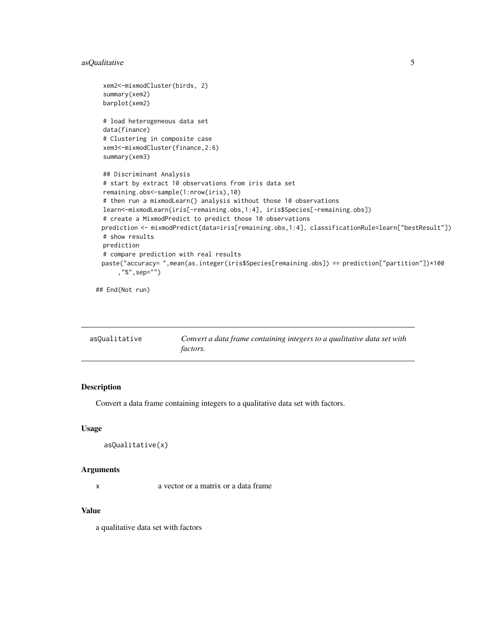## <span id="page-4-0"></span>asQualitative 5

```
xem2<-mixmodCluster(birds, 2)
summary(xem2)
barplot(xem2)
# load heterogeneous data set
data(finance)
# Clustering in composite case
xem3<-mixmodCluster(finance,2:6)
summary(xem3)
## Discriminant Analysis
# start by extract 10 observations from iris data set
remaining.obs<-sample(1:nrow(iris),10)
# then run a mixmodLearn() analysis without those 10 observations
learn<-mixmodLearn(iris[-remaining.obs,1:4], iris$Species[-remaining.obs])
# create a MixmodPredict to predict those 10 observations
prediction <- mixmodPredict(data=iris[remaining.obs,1:4], classificationRule=learn["bestResult"])
# show results
prediction
# compare prediction with real results
paste("accuracy= ",mean(as.integer(iris$Species[remaining.obs]) == prediction["partition"])*100
    ,"%",sep="")
```
## End(Not run)

| asOualitative | Convert a data frame containing integers to a qualitative data set with |
|---------------|-------------------------------------------------------------------------|
|               | <i>factors.</i>                                                         |

## Description

Convert a data frame containing integers to a qualitative data set with factors.

## Usage

```
asQualitative(x)
```
#### Arguments

x a vector or a matrix or a data frame

#### Value

a qualitative data set with factors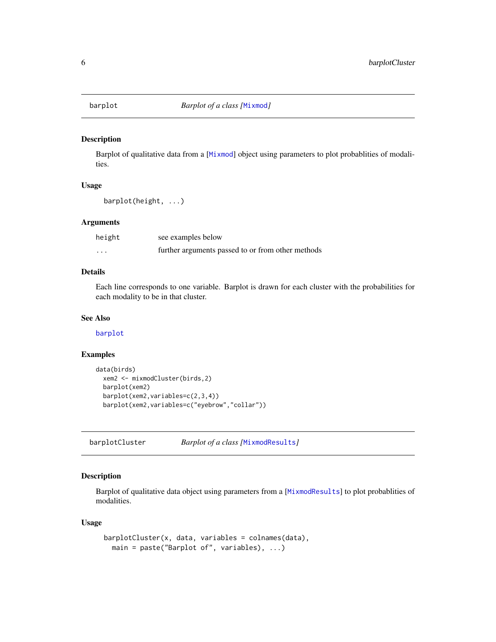<span id="page-5-1"></span><span id="page-5-0"></span>

Barplot of qualitative data from a [[Mixmod](#page-16-1)] object using parameters to plot probablities of modalities.

## Usage

```
barplot(height, ...)
```
## Arguments

| height                  | see examples below                                |
|-------------------------|---------------------------------------------------|
| $\cdot$ $\cdot$ $\cdot$ | further arguments passed to or from other methods |

## Details

Each line corresponds to one variable. Barplot is drawn for each cluster with the probabilities for each modality to be in that cluster.

## See Also

[barplot](#page-5-1)

#### Examples

```
data(birds)
  xem2 <- mixmodCluster(birds,2)
  barplot(xem2)
  barplot(xem2,variables=c(2,3,4))
  barplot(xem2,variables=c("eyebrow","collar"))
```
barplotCluster *Barplot of a class [*[MixmodResults](#page-29-1)*]*

## Description

Barplot of qualitative data object using parameters from a [[MixmodResults](#page-29-1)] to plot probablities of modalities.

## Usage

```
barplotCluster(x, data, variables = colnames(data),
 main = paste("Barplot of", variables), ...)
```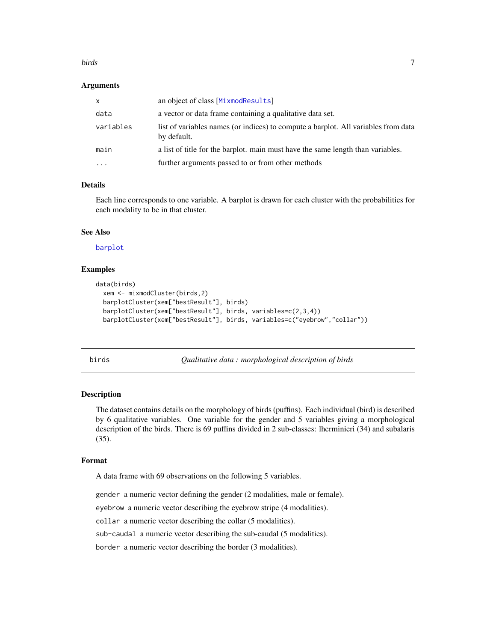#### <span id="page-6-0"></span>birds **7**

#### Arguments

| $\mathsf{x}$ | an object of class [MixmodResults]                                                                |
|--------------|---------------------------------------------------------------------------------------------------|
| data         | a vector or data frame containing a qualitative data set.                                         |
| variables    | list of variables names (or indices) to compute a barplot. All variables from data<br>by default. |
| main         | a list of title for the barplot. main must have the same length than variables.                   |
| $\cdot$      | further arguments passed to or from other methods                                                 |
|              |                                                                                                   |

## Details

Each line corresponds to one variable. A barplot is drawn for each cluster with the probabilities for each modality to be in that cluster.

## See Also

[barplot](#page-5-1)

## Examples

```
data(birds)
 xem <- mixmodCluster(birds,2)
 barplotCluster(xem["bestResult"], birds)
 barplotCluster(xem["bestResult"], birds, variables=c(2,3,4))
 barplotCluster(xem["bestResult"], birds, variables=c("eyebrow","collar"))
```
birds *Qualitative data : morphological description of birds*

#### Description

The dataset contains details on the morphology of birds (puffins). Each individual (bird) is described by 6 qualitative variables. One variable for the gender and 5 variables giving a morphological description of the birds. There is 69 puffins divided in 2 sub-classes: lherminieri (34) and subalaris (35).

#### Format

A data frame with 69 observations on the following 5 variables.

gender a numeric vector defining the gender (2 modalities, male or female).

eyebrow a numeric vector describing the eyebrow stripe (4 modalities).

collar a numeric vector describing the collar (5 modalities).

sub-caudal a numeric vector describing the sub-caudal (5 modalities).

border a numeric vector describing the border (3 modalities).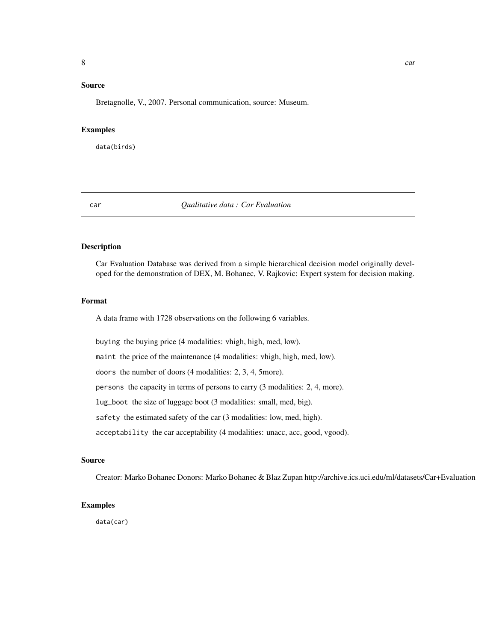## <span id="page-7-0"></span>Source

Bretagnolle, V., 2007. Personal communication, source: Museum.

#### Examples

data(birds)

#### car *Qualitative data : Car Evaluation*

## Description

Car Evaluation Database was derived from a simple hierarchical decision model originally developed for the demonstration of DEX, M. Bohanec, V. Rajkovic: Expert system for decision making.

#### Format

A data frame with 1728 observations on the following 6 variables.

buying the buying price (4 modalities: vhigh, high, med, low).

maint the price of the maintenance (4 modalities: vhigh, high, med, low).

doors the number of doors (4 modalities: 2, 3, 4, 5more).

persons the capacity in terms of persons to carry (3 modalities: 2, 4, more).

lug\_boot the size of luggage boot (3 modalities: small, med, big).

safety the estimated safety of the car (3 modalities: low, med, high).

acceptability the car acceptability (4 modalities: unacc, acc, good, vgood).

#### Source

Creator: Marko Bohanec Donors: Marko Bohanec & Blaz Zupan http://archive.ics.uci.edu/ml/datasets/Car+Evaluation

#### Examples

data(car)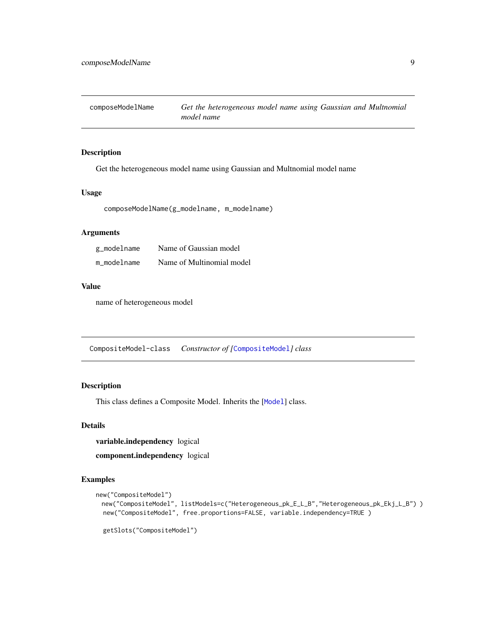<span id="page-8-0"></span>composeModelName *Get the heterogeneous model name using Gaussian and Multnomial model name*

## Description

Get the heterogeneous model name using Gaussian and Multnomial model name

## Usage

composeModelName(g\_modelname, m\_modelname)

## Arguments

| g_modelname | Name of Gaussian model    |
|-------------|---------------------------|
| m modelname | Name of Multinomial model |

## Value

name of heterogeneous model

<span id="page-8-1"></span>CompositeModel-class *Constructor of [*[CompositeModel](#page-8-1)*] class*

## Description

This class defines a Composite [Model](#page-33-1). Inherits the [Model] class.

## Details

variable.independency logical component.independency logical

```
new("CompositeModel")
 new("CompositeModel", listModels=c("Heterogeneous_pk_E_L_B","Heterogeneous_pk_Ekj_L_B") )
 new("CompositeModel", free.proportions=FALSE, variable.independency=TRUE )
 getSlots("CompositeModel")
```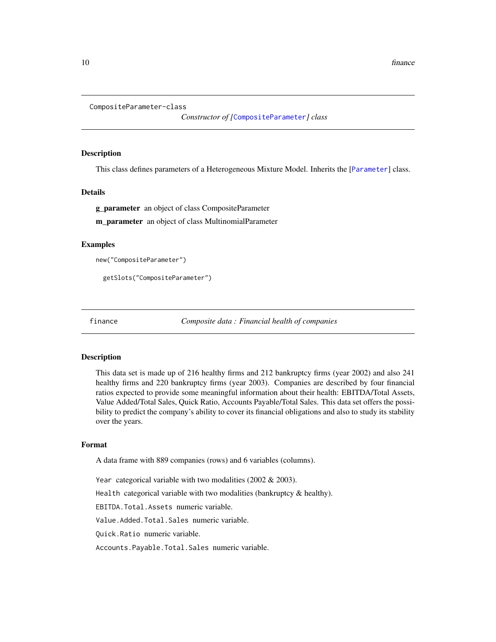```
CompositeParameter-class
```
*Constructor of [*[CompositeParameter](#page-9-1)*] class*

#### Description

This class defines parameters of a Heterogeneous Mixture Model. Inherits the [[Parameter](#page-35-1)] class.

#### Details

g\_parameter an object of class CompositeParameter

m\_parameter an object of class MultinomialParameter

#### Examples

```
new("CompositeParameter")
```

```
getSlots("CompositeParameter")
```
finance *Composite data : Financial health of companies*

#### **Description**

This data set is made up of 216 healthy firms and 212 bankruptcy firms (year 2002) and also 241 healthy firms and 220 bankruptcy firms (year 2003). Companies are described by four financial ratios expected to provide some meaningful information about their health: EBITDA/Total Assets, Value Added/Total Sales, Quick Ratio, Accounts Payable/Total Sales. This data set offers the possibility to predict the company's ability to cover its financial obligations and also to study its stability over the years.

#### Format

A data frame with 889 companies (rows) and 6 variables (columns).

Year categorical variable with two modalities  $(2002 \& 2003)$ .

Health categorical variable with two modalities (bankruptcy & healthy).

EBITDA.Total.Assets numeric variable.

Value.Added.Total.Sales numeric variable.

Quick.Ratio numeric variable.

Accounts.Payable.Total.Sales numeric variable.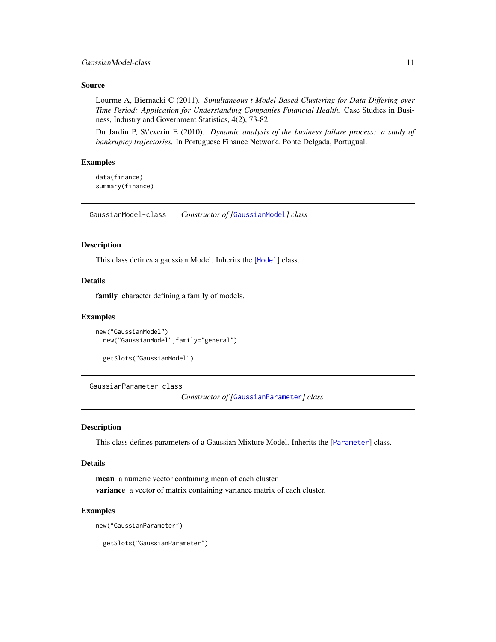#### <span id="page-10-0"></span>Source

Lourme A, Biernacki C (2011). *Simultaneous t-Model-Based Clustering for Data Differing over Time Period: Application for Understanding Companies Financial Health.* Case Studies in Business, Industry and Government Statistics, 4(2), 73-82.

Du Jardin P, S\'everin E (2010). *Dynamic analysis of the business failure process: a study of bankruptcy trajectories.* In Portuguese Finance Network. Ponte Delgada, Portugual.

#### Examples

data(finance) summary(finance)

<span id="page-10-1"></span>GaussianModel-class *Constructor of [*[GaussianModel](#page-10-1)*] class*

## Description

This class defines a gaussian Model. Inherits the [[Model](#page-33-1)] class.

## Details

family character defining a family of models.

#### Examples

```
new("GaussianModel")
 new("GaussianModel",family="general")
```

```
getSlots("GaussianModel")
```
<span id="page-10-2"></span>GaussianParameter-class

*Constructor of [*[GaussianParameter](#page-10-2)*] class*

#### Description

This class defines parameters of a Gaussian Mixture Model. Inherits the [[Parameter](#page-35-1)] class.

#### Details

mean a numeric vector containing mean of each cluster. variance a vector of matrix containing variance matrix of each cluster.

#### Examples

```
new("GaussianParameter")
```
getSlots("GaussianParameter")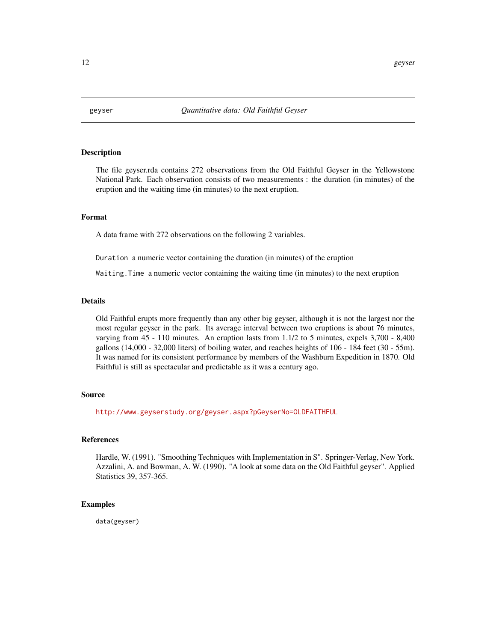<span id="page-11-0"></span>

The file geyser.rda contains 272 observations from the Old Faithful Geyser in the Yellowstone National Park. Each observation consists of two measurements : the duration (in minutes) of the eruption and the waiting time (in minutes) to the next eruption.

#### Format

A data frame with 272 observations on the following 2 variables.

Duration a numeric vector containing the duration (in minutes) of the eruption

Waiting.Time a numeric vector containing the waiting time (in minutes) to the next eruption

#### Details

Old Faithful erupts more frequently than any other big geyser, although it is not the largest nor the most regular geyser in the park. Its average interval between two eruptions is about 76 minutes, varying from 45 - 110 minutes. An eruption lasts from 1.1/2 to 5 minutes, expels 3,700 - 8,400 gallons (14,000 - 32,000 liters) of boiling water, and reaches heights of 106 - 184 feet (30 - 55m). It was named for its consistent performance by members of the Washburn Expedition in 1870. Old Faithful is still as spectacular and predictable as it was a century ago.

#### Source

<http://www.geyserstudy.org/geyser.aspx?pGeyserNo=OLDFAITHFUL>

#### References

Hardle, W. (1991). "Smoothing Techniques with Implementation in S". Springer-Verlag, New York. Azzalini, A. and Bowman, A. W. (1990). "A look at some data on the Old Faithful geyser". Applied Statistics 39, 357-365.

## Examples

data(geyser)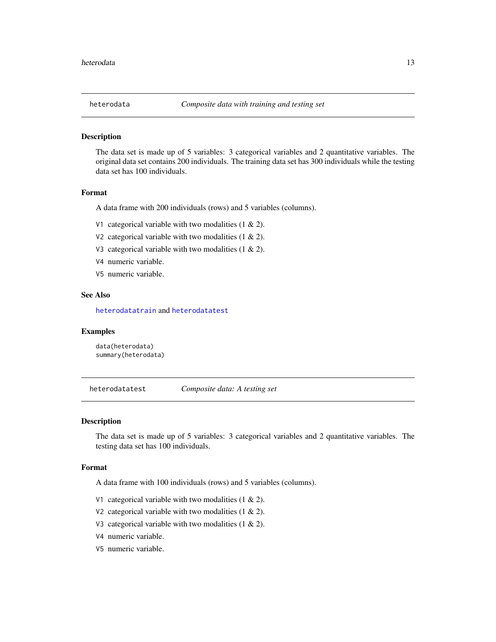<span id="page-12-0"></span>

The data set is made up of 5 variables: 3 categorical variables and 2 quantitative variables. The original data set contains 200 individuals. The training data set has 300 individuals while the testing data set has 100 individuals.

#### Format

A data frame with 200 individuals (rows) and 5 variables (columns).

- V1 categorical variable with two modalities  $(1 \& 2)$ .
- V2 categorical variable with two modalities  $(1 \& 2)$ .
- V3 categorical variable with two modalities  $(1 \& 2)$ .
- V4 numeric variable.
- V5 numeric variable.

#### See Also

[heterodatatrain](#page-13-1) and [heterodatatest](#page-12-1)

#### Examples

data(heterodata) summary(heterodata)

<span id="page-12-1"></span>heterodatatest *Composite data: A testing set*

#### Description

The data set is made up of 5 variables: 3 categorical variables and 2 quantitative variables. The testing data set has 100 individuals.

## Format

A data frame with 100 individuals (rows) and 5 variables (columns).

- V1 categorical variable with two modalities  $(1 \& 2)$ .
- V2 categorical variable with two modalities  $(1 \& 2)$ .
- V3 categorical variable with two modalities  $(1 \& 2)$ .
- V4 numeric variable.
- V5 numeric variable.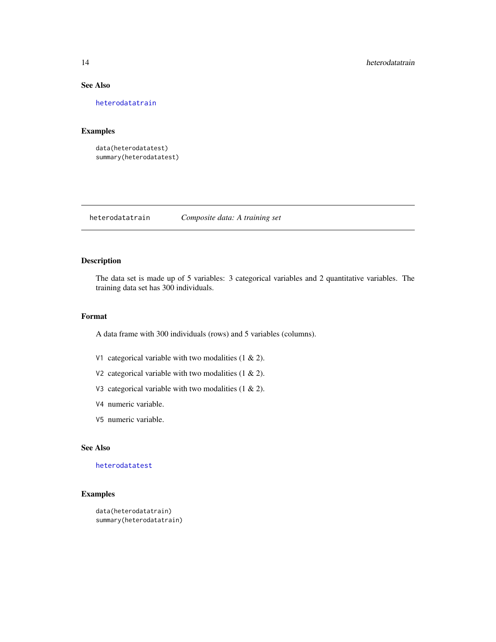## See Also

[heterodatatrain](#page-13-1)

## Examples

```
data(heterodatatest)
summary(heterodatatest)
```
<span id="page-13-1"></span>heterodatatrain *Composite data: A training set*

## Description

The data set is made up of 5 variables: 3 categorical variables and 2 quantitative variables. The training data set has 300 individuals.

## Format

A data frame with 300 individuals (rows) and 5 variables (columns).

- V1 categorical variable with two modalities  $(1 \& 2)$ .
- V2 categorical variable with two modalities (1 & 2).
- V3 categorical variable with two modalities  $(1 \& 2)$ .
- V4 numeric variable.
- V5 numeric variable.

## See Also

## [heterodatatest](#page-12-1)

```
data(heterodatatrain)
summary(heterodatatrain)
```
<span id="page-13-0"></span>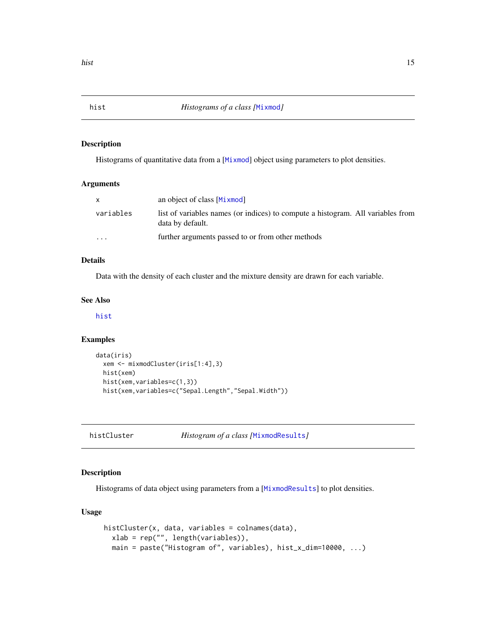<span id="page-14-1"></span><span id="page-14-0"></span>

Histograms of quantitative data from a [[Mixmod](#page-16-1)] object using parameters to plot densities.

## Arguments

| $\mathsf{x}$ | an object of class [Mixmod]                                                                         |
|--------------|-----------------------------------------------------------------------------------------------------|
| variables    | list of variables names (or indices) to compute a histogram. All variables from<br>data by default. |
| $\cdot$      | further arguments passed to or from other methods                                                   |

## Details

Data with the density of each cluster and the mixture density are drawn for each variable.

## See Also

[hist](#page-14-1)

## Examples

```
data(iris)
 xem <- mixmodCluster(iris[1:4],3)
 hist(xem)
 hist(xem,variables=c(1,3))
 hist(xem,variables=c("Sepal.Length","Sepal.Width"))
```
histCluster *Histogram of a class [*[MixmodResults](#page-29-1)*]*

## Description

Histograms of data object using parameters from a [[MixmodResults](#page-29-1)] to plot densities.

## Usage

```
histCluster(x, data, variables = colnames(data),
 xlab = rep("", length(variables)),
 main = paste("Histogram of", variables), hist_x_dim=10000, ...)
```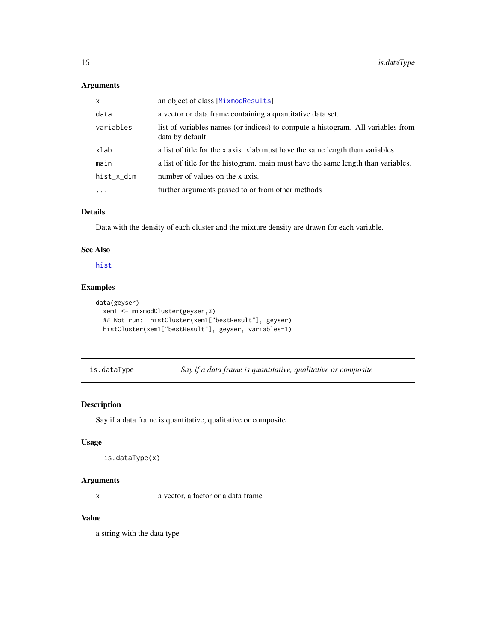## <span id="page-15-0"></span>Arguments

| $\mathsf{x}$ | an object of class [MixmodResults]                                                                  |
|--------------|-----------------------------------------------------------------------------------------------------|
| data         | a vector or data frame containing a quantitative data set.                                          |
| variables    | list of variables names (or indices) to compute a histogram. All variables from<br>data by default. |
| xlab         | a list of title for the x axis. xlab must have the same length than variables.                      |
| main         | a list of title for the histogram. main must have the same length than variables.                   |
| hist_x_dim   | number of values on the x axis.                                                                     |
| $\cdot$      | further arguments passed to or from other methods                                                   |

## Details

Data with the density of each cluster and the mixture density are drawn for each variable.

## See Also

[hist](#page-14-1)

## Examples

```
data(geyser)
  xem1 <- mixmodCluster(geyser,3)
  ## Not run: histCluster(xem1["bestResult"], geyser)
  histCluster(xem1["bestResult"], geyser, variables=1)
```
is.dataType *Say if a data frame is quantitative, qualitative or composite*

## Description

Say if a data frame is quantitative, qualitative or composite

## Usage

```
is.dataType(x)
```
## Arguments

x a vector, a factor or a data frame

## Value

a string with the data type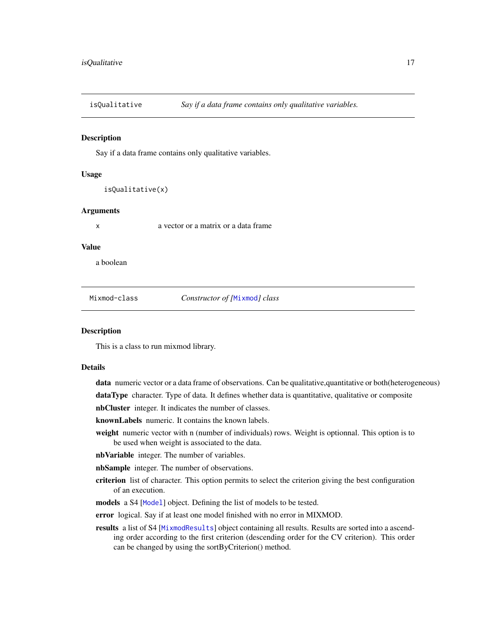<span id="page-16-0"></span>

Say if a data frame contains only qualitative variables.

#### Usage

isQualitative(x)

#### **Arguments**

x a vector or a matrix or a data frame

#### Value

a boolean

<span id="page-16-1"></span>Mixmod-class *Constructor of [*[Mixmod](#page-16-1)*] class*

#### Description

This is a class to run mixmod library.

#### Details

data numeric vector or a data frame of observations. Can be qualitative, quantitative or both(heterogeneous)

dataType character. Type of data. It defines whether data is quantitative, qualitative or composite

nbCluster integer. It indicates the number of classes.

knownLabels numeric. It contains the known labels.

weight numeric vector with n (number of individuals) rows. Weight is optionnal. This option is to be used when weight is associated to the data.

nbVariable integer. The number of variables.

nbSample integer. The number of observations.

- criterion list of character. This option permits to select the criterion giving the best configuration of an execution.
- models a S4 [[Model](#page-33-1)] object. Defining the list of models to be tested.
- error logical. Say if at least one model finished with no error in MIXMOD.
- results a list of S4 [[MixmodResults](#page-29-1)] object containing all results. Results are sorted into a ascending order according to the first criterion (descending order for the CV criterion). This order can be changed by using the sortByCriterion() method.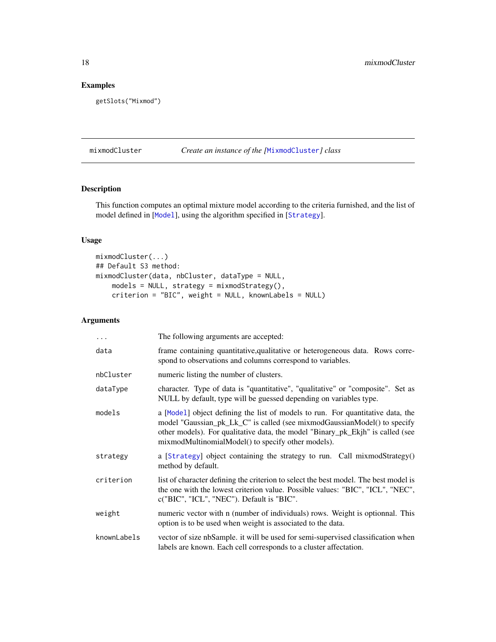## <span id="page-17-0"></span>Examples

```
getSlots("Mixmod")
```
## mixmodCluster *Create an instance of the [*[MixmodCluster](#page-18-1)*] class*

## Description

This function computes an optimal mixture model according to the criteria furnished, and the list of model defined in [[Model](#page-33-1)], using the algorithm specified in [[Strategy](#page-41-1)].

## Usage

```
mixmodCluster(...)
## Default S3 method:
mixmodCluster(data, nbCluster, dataType = NULL,
   models = NULL, strategy = mixmodStrategy(),
   criterion = "BIC", weight = NULL, knownLabels = NULL)
```
## Arguments

| $\cdots$    | The following arguments are accepted:                                                                                                                                                                                                                                                               |
|-------------|-----------------------------------------------------------------------------------------------------------------------------------------------------------------------------------------------------------------------------------------------------------------------------------------------------|
| data        | frame containing quantitative, qualitative or heterogeneous data. Rows corre-<br>spond to observations and columns correspond to variables.                                                                                                                                                         |
| nbCluster   | numeric listing the number of clusters.                                                                                                                                                                                                                                                             |
| dataType    | character. Type of data is "quantitative", "qualitative" or "composite". Set as<br>NULL by default, type will be guessed depending on variables type.                                                                                                                                               |
| models      | a [Model] object defining the list of models to run. For quantitative data, the<br>model "Gaussian_pk_Lk_C" is called (see mixmodGaussianModel() to specify<br>other models). For qualitative data, the model "Binary_pk_Ekjh" is called (see<br>mixmodMultinomialModel() to specify other models). |
| strategy    | a [Strategy] object containing the strategy to run. Call mixmodStrategy()<br>method by default.                                                                                                                                                                                                     |
| criterion   | list of character defining the criterion to select the best model. The best model is<br>the one with the lowest criterion value. Possible values: "BIC", "ICL", "NEC",<br>c("BIC", "ICL", "NEC"). Default is "BIC".                                                                                 |
| weight      | numeric vector with n (number of individuals) rows. Weight is optionnal. This<br>option is to be used when weight is associated to the data.                                                                                                                                                        |
| knownLabels | vector of size nbSample. it will be used for semi-supervised classification when<br>labels are known. Each cell corresponds to a cluster affectation.                                                                                                                                               |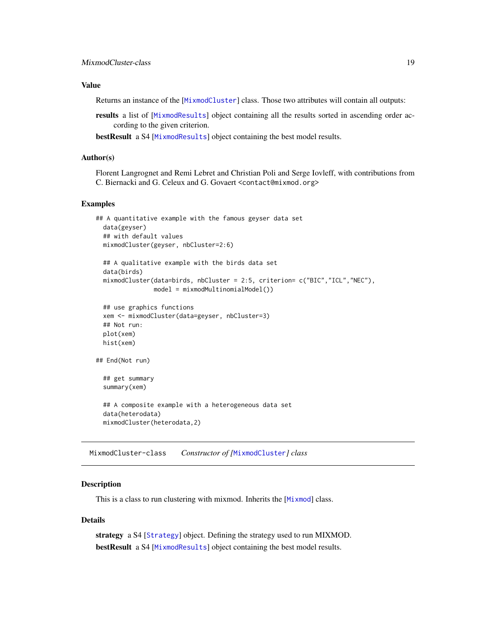## <span id="page-18-0"></span>Value

Returns an instance of the [[MixmodCluster](#page-18-1)] class. Those two attributes will contain all outputs:

results a list of [[MixmodResults](#page-29-1)] object containing all the results sorted in ascending order according to the given criterion.

bestResult a S4 [[MixmodResults](#page-29-1)] object containing the best model results.

#### Author(s)

Florent Langrognet and Remi Lebret and Christian Poli and Serge Iovleff, with contributions from C. Biernacki and G. Celeux and G. Govaert <contact@mixmod.org>

## Examples

```
## A quantitative example with the famous geyser data set
 data(geyser)
 ## with default values
 mixmodCluster(geyser, nbCluster=2:6)
 ## A qualitative example with the birds data set
 data(birds)
 mixmodCluster(data=birds, nbCluster = 2:5, criterion= c("BIC","ICL","NEC"),
               model = mixmodMultinomialModel())
 ## use graphics functions
 xem <- mixmodCluster(data=geyser, nbCluster=3)
 ## Not run:
 plot(xem)
 hist(xem)
## End(Not run)
 ## get summary
 summary(xem)
 ## A composite example with a heterogeneous data set
 data(heterodata)
 mixmodCluster(heterodata,2)
```
<span id="page-18-1"></span>MixmodCluster-class *Constructor of [*[MixmodCluster](#page-18-1)*] class*

#### **Description**

This is a class to run clustering with mixmod. Inherits the [[Mixmod](#page-16-1)] class.

#### Details

strategy a S4 [[Strategy](#page-41-1)] object. Defining the strategy used to run MIXMOD. bestResult a S4 [[MixmodResults](#page-29-1)] object containing the best model results.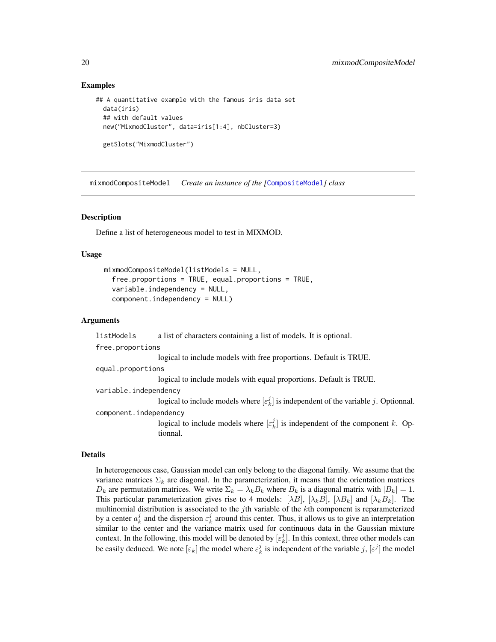#### Examples

```
## A quantitative example with the famous iris data set
 data(iris)
 ## with default values
 new("MixmodCluster", data=iris[1:4], nbCluster=3)
 getSlots("MixmodCluster")
```
mixmodCompositeModel *Create an instance of the [*[CompositeModel](#page-8-1)*] class*

#### **Description**

Define a list of heterogeneous model to test in MIXMOD.

#### Usage

```
mixmodCompositeModel(listModels = NULL,
  free.proportions = TRUE, equal.proportions = TRUE,
  variable.independency = NULL,
  component.independency = NULL)
```
#### Arguments

```
listModels a list of characters containing a list of models. It is optional.
free.proportions
                   logical to include models with free proportions. Default is TRUE.
equal.proportions
                   logical to include models with equal proportions. Default is TRUE.
variable.independency
                   logical to include models where [\varepsilon_k^j] is independent of the variable j. Optionnal.
component.independency
                   logical to include models where [\varepsilon_k^j] is independent of the component k. Op-
                   tionnal.
```
#### Details

In heterogeneous case, Gaussian model can only belong to the diagonal family. We assume that the variance matrices  $\Sigma_k$  are diagonal. In the parameterization, it means that the orientation matrices  $D_k$  are permutation matrices. We write  $\Sigma_k = \lambda_k B_k$  where  $B_k$  is a diagonal matrix with  $|B_k| = 1$ . This particular parameterization gives rise to 4 models:  $[\lambda B]$ ,  $[\lambda_k B]$ ,  $[\lambda B_k]$  and  $[\lambda_k B_k]$ . The multinomial distribution is associated to the  $j$ th variable of the  $k$ th component is reparameterized by a center  $a_k^j$  and the dispersion  $\varepsilon_k^j$  around this center. Thus, it allows us to give an interpretation similar to the center and the variance matrix used for continuous data in the Gaussian mixture context. In the following, this model will be denoted by  $[\varepsilon_k^j]$ . In this context, three other models can be easily deduced. We note  $[\varepsilon_k]$  the model where  $\varepsilon_k^j$  is independent of the variable j,  $[\varepsilon^j]$  the model

<span id="page-19-0"></span>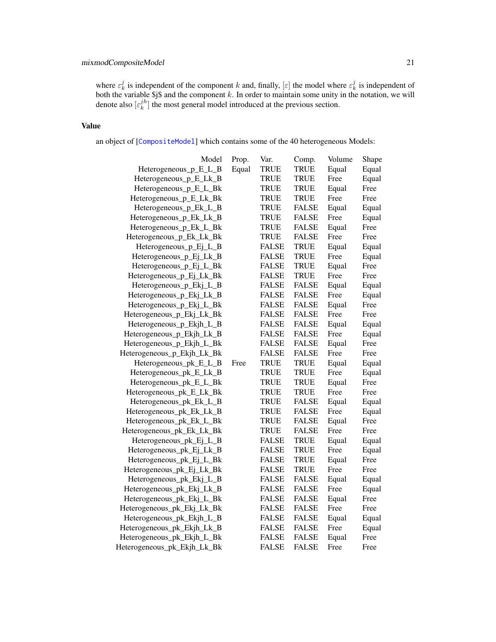## <span id="page-20-0"></span>mixmodCompositeModel 21

where  $\varepsilon_k^j$  is independent of the component k and, finally,  $[\varepsilon]$  the model where  $\varepsilon_k^j$  is independent of both the variable  $\frac{1}{5}$  and the component k. In order to maintain some unity in the notation, we will denote also  $[\varepsilon_k^{jh}]$  the most general model introduced at the previous section.

## Value

an object of [[CompositeModel](#page-8-1)] which contains some of the 40 heterogeneous Models:

| Model                       | Prop. | Var.         | Comp.        | Volume | Shape |
|-----------------------------|-------|--------------|--------------|--------|-------|
| Heterogeneous_p_E_L_B       | Equal | <b>TRUE</b>  | <b>TRUE</b>  | Equal  | Equal |
| Heterogeneous_p_E_Lk_B      |       | TRUE         | <b>TRUE</b>  | Free   | Equal |
| Heterogeneous_p_E_L_Bk      |       | <b>TRUE</b>  | <b>TRUE</b>  | Equal  | Free  |
| Heterogeneous_p_E_Lk_Bk     |       | <b>TRUE</b>  | <b>TRUE</b>  | Free   | Free  |
| Heterogeneous_p_Ek_L_B      |       | <b>TRUE</b>  | <b>FALSE</b> | Equal  | Equal |
| Heterogeneous_p_Ek_Lk_B     |       | <b>TRUE</b>  | <b>FALSE</b> | Free   | Equal |
| Heterogeneous_p_Ek_L_Bk     |       | <b>TRUE</b>  | <b>FALSE</b> | Equal  | Free  |
| Heterogeneous_p_Ek_Lk_Bk    |       | <b>TRUE</b>  | <b>FALSE</b> | Free   | Free  |
| Heterogeneous_p_Ej_L_B      |       | <b>FALSE</b> | <b>TRUE</b>  | Equal  | Equal |
| Heterogeneous_p_Ej_Lk_B     |       | <b>FALSE</b> | <b>TRUE</b>  | Free   | Equal |
| Heterogeneous_p_Ej_L_Bk     |       | <b>FALSE</b> | <b>TRUE</b>  | Equal  | Free  |
| Heterogeneous_p_Ej_Lk_Bk    |       | <b>FALSE</b> | <b>TRUE</b>  | Free   | Free  |
| Heterogeneous_p_Ekj_L_B     |       | <b>FALSE</b> | <b>FALSE</b> | Equal  | Equal |
| Heterogeneous_p_Ekj_Lk_B    |       | FALSE        | <b>FALSE</b> | Free   | Equal |
| Heterogeneous_p_Ekj_L_Bk    |       | <b>FALSE</b> | <b>FALSE</b> | Equal  | Free  |
| Heterogeneous_p_Ekj_Lk_Bk   |       | <b>FALSE</b> | <b>FALSE</b> | Free   | Free  |
| Heterogeneous_p_Ekjh_L_B    |       | <b>FALSE</b> | <b>FALSE</b> | Equal  | Equal |
| Heterogeneous_p_Ekjh_Lk_B   |       | <b>FALSE</b> | <b>FALSE</b> | Free   | Equal |
| Heterogeneous_p_Ekjh_L_Bk   |       | <b>FALSE</b> | <b>FALSE</b> | Equal  | Free  |
| Heterogeneous_p_Ekjh_Lk_Bk  |       | <b>FALSE</b> | <b>FALSE</b> | Free   | Free  |
| Heterogeneous_pk_E_L_B      | Free  | <b>TRUE</b>  | <b>TRUE</b>  | Equal  | Equal |
| Heterogeneous_pk_E_Lk_B     |       | <b>TRUE</b>  | <b>TRUE</b>  | Free   | Equal |
| Heterogeneous_pk_E_L_Bk     |       | <b>TRUE</b>  | <b>TRUE</b>  | Equal  | Free  |
| Heterogeneous_pk_E_Lk_Bk    |       | <b>TRUE</b>  | <b>TRUE</b>  | Free   | Free  |
| Heterogeneous_pk_Ek_L_B     |       | TRUE         | <b>FALSE</b> | Equal  | Equal |
| Heterogeneous_pk_Ek_Lk_B    |       | <b>TRUE</b>  | <b>FALSE</b> | Free   | Equal |
| Heterogeneous_pk_Ek_L_Bk    |       | <b>TRUE</b>  | <b>FALSE</b> | Equal  | Free  |
| Heterogeneous_pk_Ek_Lk_Bk   |       | <b>TRUE</b>  | <b>FALSE</b> | Free   | Free  |
| Heterogeneous_pk_Ej_L_B     |       | <b>FALSE</b> | <b>TRUE</b>  | Equal  | Equal |
| Heterogeneous_pk_Ej_Lk_B    |       | <b>FALSE</b> | <b>TRUE</b>  | Free   | Equal |
| Heterogeneous_pk_Ej_L_Bk    |       | <b>FALSE</b> | <b>TRUE</b>  | Equal  | Free  |
| Heterogeneous_pk_Ej_Lk_Bk   |       | <b>FALSE</b> | <b>TRUE</b>  | Free   | Free  |
| Heterogeneous_pk_Ekj_L_B    |       | <b>FALSE</b> | <b>FALSE</b> | Equal  | Equal |
| Heterogeneous_pk_Ekj_Lk_B   |       | <b>FALSE</b> | <b>FALSE</b> | Free   | Equal |
| Heterogeneous_pk_Ekj_L_Bk   |       | <b>FALSE</b> | <b>FALSE</b> | Equal  | Free  |
| Heterogeneous_pk_Ekj_Lk_Bk  |       | FALSE        | <b>FALSE</b> | Free   | Free  |
| Heterogeneous_pk_Ekjh_L_B   |       | <b>FALSE</b> | <b>FALSE</b> | Equal  | Equal |
| Heterogeneous_pk_Ekjh_Lk_B  |       | <b>FALSE</b> | <b>FALSE</b> | Free   | Equal |
| Heterogeneous_pk_Ekjh_L_Bk  |       | <b>FALSE</b> | <b>FALSE</b> | Equal  | Free  |
| Heterogeneous_pk_Ekjh_Lk_Bk |       | <b>FALSE</b> | <b>FALSE</b> | Free   | Free  |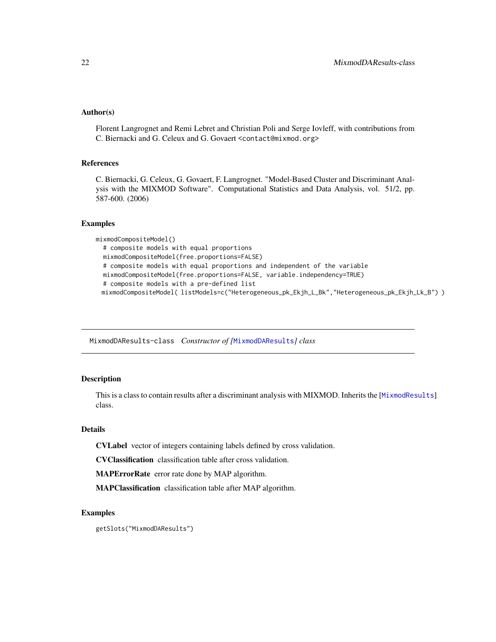## <span id="page-21-0"></span>Author(s)

Florent Langrognet and Remi Lebret and Christian Poli and Serge Iovleff, with contributions from C. Biernacki and G. Celeux and G. Govaert <contact@mixmod.org>

## References

C. Biernacki, G. Celeux, G. Govaert, F. Langrognet. "Model-Based Cluster and Discriminant Analysis with the MIXMOD Software". Computational Statistics and Data Analysis, vol. 51/2, pp. 587-600. (2006)

#### Examples

```
mixmodCompositeModel()
```

```
# composite models with equal proportions
mixmodCompositeModel(free.proportions=FALSE)
# composite models with equal proportions and independent of the variable
mixmodCompositeModel(free.proportions=FALSE, variable.independency=TRUE)
# composite models with a pre-defined list
mixmodCompositeModel( listModels=c("Heterogeneous_pk_Ekjh_L_Bk","Heterogeneous_pk_Ekjh_Lk_B") )
```
<span id="page-21-1"></span>MixmodDAResults-class *Constructor of [*[MixmodDAResults](#page-21-1)*] class*

## Description

This is a class to contain results after a discriminant analysis with MIXMOD. Inherits the [[MixmodResults](#page-29-1)] class.

#### Details

CVLabel vector of integers containing labels defined by cross validation.

CVClassification classification table after cross validation.

MAPErrorRate error rate done by MAP algorithm.

MAPClassification classification table after MAP algorithm.

#### Examples

getSlots("MixmodDAResults")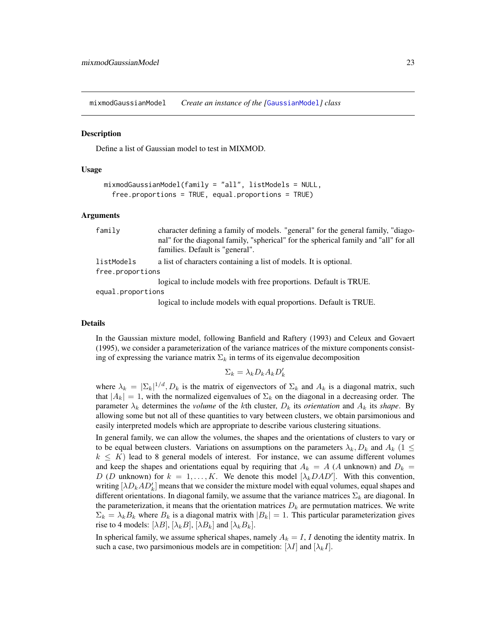<span id="page-22-0"></span>mixmodGaussianModel *Create an instance of the [*[GaussianModel](#page-10-1)*] class*

#### **Description**

Define a list of Gaussian model to test in MIXMOD.

#### Usage

```
mixmodGaussianModel(family = "all", listModels = NULL,
 free.proportions = TRUE, equal.proportions = TRUE
```
#### Arguments

| family            | character defining a family of models. "general" for the general family, "diago-     |
|-------------------|--------------------------------------------------------------------------------------|
|                   | nal" for the diagonal family, "spherical" for the spherical family and "all" for all |
|                   | families. Default is "general".                                                      |
| listModels        | a list of characters containing a list of models. It is optional.                    |
| free.proportions  |                                                                                      |
|                   | logical to include models with free proportions. Default is TRUE.                    |
| equal.proportions |                                                                                      |

logical to include models with equal proportions. Default is TRUE.

#### Details

In the Gaussian mixture model, following Banfield and Raftery (1993) and Celeux and Govaert (1995), we consider a parameterization of the variance matrices of the mixture components consisting of expressing the variance matrix  $\Sigma_k$  in terms of its eigenvalue decomposition

$$
\Sigma_k = \lambda_k D_k A_k D'_k
$$

where  $\lambda_k = |\Sigma_k|^{1/d}, D_k$  is the matrix of eigenvectors of  $\Sigma_k$  and  $A_k$  is a diagonal matrix, such that  $|A_k| = 1$ , with the normalized eigenvalues of  $\Sigma_k$  on the diagonal in a decreasing order. The parameter  $\lambda_k$  determines the *volume* of the kth cluster,  $D_k$  its *orientation* and  $A_k$  its *shape*. By allowing some but not all of these quantities to vary between clusters, we obtain parsimonious and easily interpreted models which are appropriate to describe various clustering situations.

In general family, we can allow the volumes, the shapes and the orientations of clusters to vary or to be equal between clusters. Variations on assumptions on the parameters  $\lambda_k, D_k$  and  $A_k$  (1  $\leq$  $k \leq K$ ) lead to 8 general models of interest. For instance, we can assume different volumes and keep the shapes and orientations equal by requiring that  $A_k = A(A)$  unknown) and  $D_k =$ D (D unknown) for  $k = 1, ..., K$ . We denote this model  $[\lambda_k DAD']$ . With this convention, writing  $[\lambda D_k AD'_k]$  means that we consider the mixture model with equal volumes, equal shapes and different orientations. In diagonal family, we assume that the variance matrices  $\Sigma_k$  are diagonal. In the parameterization, it means that the orientation matrices  $D<sub>k</sub>$  are permutation matrices. We write  $\Sigma_k = \lambda_k B_k$  where  $B_k$  is a diagonal matrix with  $|B_k| = 1$ . This particular parameterization gives rise to 4 models:  $[\lambda B], [\lambda_k B], [\lambda B_k]$  and  $[\lambda_k B_k]$ .

In spherical family, we assume spherical shapes, namely  $A_k = I$ , I denoting the identity matrix. In such a case, two parsimonious models are in competition:  $[\lambda I]$  and  $[\lambda_k I]$ .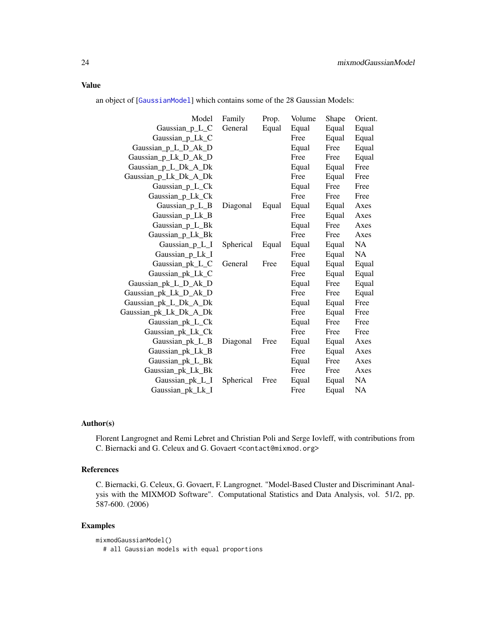## <span id="page-23-0"></span>Value

an object of [[GaussianModel](#page-10-1)] which contains some of the 28 Gaussian Models:

| Model                  | Family    | Prop. | Volume | Shape | Orient.   |
|------------------------|-----------|-------|--------|-------|-----------|
| Gaussian_p_L_C         | General   | Equal | Equal  | Equal | Equal     |
| Gaussian p Lk C        |           |       | Free   | Equal | Equal     |
| Gaussian_p_L_D_Ak_D    |           |       | Equal  | Free  | Equal     |
| Gaussian_p_Lk_D_Ak_D   |           |       | Free   | Free  | Equal     |
| Gaussian_p_L_Dk_A_Dk   |           |       | Equal  | Equal | Free      |
| Gaussian_p_Lk_Dk_A_Dk  |           |       | Free   | Equal | Free      |
| Gaussian_p_L_Ck        |           |       | Equal  | Free  | Free      |
| Gaussian_p_Lk_Ck       |           |       | Free   | Free  | Free      |
| Gaussian_p_L_B         | Diagonal  | Equal | Equal  | Equal | Axes      |
| Gaussian_p_Lk_B        |           |       | Free   | Equal | Axes      |
| Gaussian_p_L_Bk        |           |       | Equal  | Free  | Axes      |
| Gaussian_p_Lk_Bk       |           |       | Free   | Free  | Axes      |
| Gaussian $p_L$         | Spherical | Equal | Equal  | Equal | <b>NA</b> |
| Gaussian_p_Lk_I        |           |       | Free   | Equal | NA        |
| Gaussian_pk_L_C        | General   | Free  | Equal  | Equal | Equal     |
| Gaussian_pk_Lk_C       |           |       | Free   | Equal | Equal     |
| Gaussian_pk_L_D_Ak_D   |           |       | Equal  | Free  | Equal     |
| Gaussian_pk_Lk_D_Ak_D  |           |       | Free   | Free  | Equal     |
| Gaussian_pk_L_Dk_A_Dk  |           |       | Equal  | Equal | Free      |
| Gaussian_pk_Lk_Dk_A_Dk |           |       | Free   | Equal | Free      |
| Gaussian_pk_L_Ck       |           |       | Equal  | Free  | Free      |
| Gaussian_pk_Lk_Ck      |           |       | Free   | Free  | Free      |
| Gaussian_pk_L_B        | Diagonal  | Free  | Equal  | Equal | Axes      |
| Gaussian_pk_Lk_B       |           |       | Free   | Equal | Axes      |
| Gaussian_pk_L_Bk       |           |       | Equal  | Free  | Axes      |
| Gaussian_pk_Lk_Bk      |           |       | Free   | Free  | Axes      |
| Gaussian_pk_L_I        | Spherical | Free  | Equal  | Equal | NA.       |
| Gaussian_pk_Lk_I       |           |       | Free   | Equal | <b>NA</b> |

## Author(s)

Florent Langrognet and Remi Lebret and Christian Poli and Serge Iovleff, with contributions from C. Biernacki and G. Celeux and G. Govaert <contact@mixmod.org>

## References

C. Biernacki, G. Celeux, G. Govaert, F. Langrognet. "Model-Based Cluster and Discriminant Analysis with the MIXMOD Software". Computational Statistics and Data Analysis, vol. 51/2, pp. 587-600. (2006)

## Examples

mixmodGaussianModel()

# all Gaussian models with equal proportions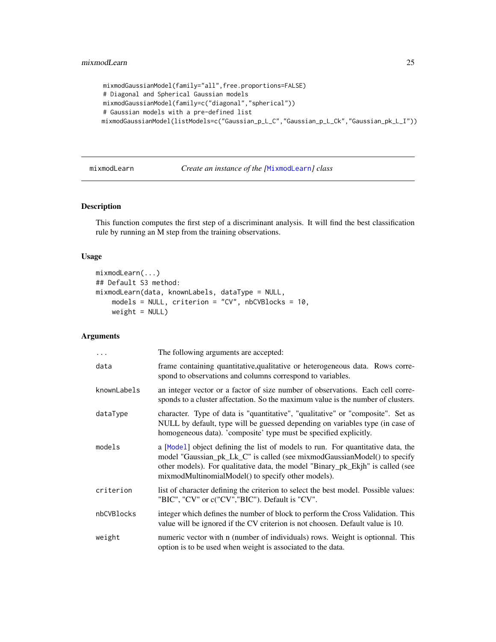```
mixmodGaussianModel(family="all",free.proportions=FALSE)
# Diagonal and Spherical Gaussian models
mixmodGaussianModel(family=c("diagonal","spherical"))
# Gaussian models with a pre-defined list
mixmodGaussianModel(listModels=c("Gaussian_p_L_C","Gaussian_p_L_Ck","Gaussian_pk_L_I"))
```
mixmodLearn *Create an instance of the [*[MixmodLearn](#page-25-1)*] class*

#### Description

This function computes the first step of a discriminant analysis. It will find the best classification rule by running an M step from the training observations.

#### Usage

```
mixmodLearn(...)
## Default S3 method:
mixmodLearn(data, knownLabels, dataType = NULL,
   models = NULL, criterion = "CV", nbCVBlocks = 10,
   weight = NULL)
```
## Arguments

| $\ddots$    | The following arguments are accepted:                                                                                                                                                                                                                                                               |
|-------------|-----------------------------------------------------------------------------------------------------------------------------------------------------------------------------------------------------------------------------------------------------------------------------------------------------|
| data        | frame containing quantitative, qualitative or heterogeneous data. Rows corre-<br>spond to observations and columns correspond to variables.                                                                                                                                                         |
| knownLabels | an integer vector or a factor of size number of observations. Each cell corre-<br>sponds to a cluster affectation. So the maximum value is the number of clusters.                                                                                                                                  |
| dataType    | character. Type of data is "quantitative", "qualitative" or "composite". Set as<br>NULL by default, type will be guessed depending on variables type (in case of<br>homogeneous data). 'composite' type must be specified explicitly.                                                               |
| models      | a [Model] object defining the list of models to run. For quantitative data, the<br>model "Gaussian_pk_Lk_C" is called (see mixmodGaussianModel() to specify<br>other models). For qualitative data, the model "Binary_pk_Ekjh" is called (see<br>mixmodMultinomialModel() to specify other models). |
| criterion   | list of character defining the criterion to select the best model. Possible values:<br>"BIC", "CV" or c("CV","BIC"). Default is "CV".                                                                                                                                                               |
| nbCVBlocks  | integer which defines the number of block to perform the Cross Validation. This<br>value will be ignored if the CV criterion is not choosen. Default value is 10.                                                                                                                                   |
| weight      | numeric vector with n (number of individuals) rows. Weight is optionnal. This<br>option is to be used when weight is associated to the data.                                                                                                                                                        |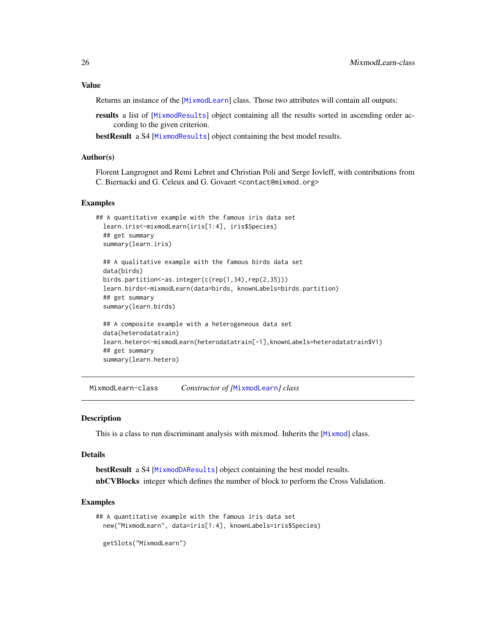#### <span id="page-25-0"></span>Value

Returns an instance of the [[MixmodLearn](#page-25-1)] class. Those two attributes will contain all outputs:

results a list of [[MixmodResults](#page-29-1)] object containing all the results sorted in ascending order according to the given criterion.

bestResult a S4 [[MixmodResults](#page-29-1)] object containing the best model results.

## Author(s)

Florent Langrognet and Remi Lebret and Christian Poli and Serge Iovleff, with contributions from C. Biernacki and G. Celeux and G. Govaert <contact@mixmod.org>

#### Examples

```
## A quantitative example with the famous iris data set
 learn.iris<-mixmodLearn(iris[1:4], iris$Species)
 ## get summary
 summary(learn.iris)
 ## A qualitative example with the famous birds data set
 data(birds)
 birds.partition<-as.integer(c(rep(1,34),rep(2,35)))
 learn.birds<-mixmodLearn(data=birds, knownLabels=birds.partition)
 ## get summary
 summary(learn.birds)
 ## A composite example with a heterogeneous data set
 data(heterodatatrain)
 learn.hetero<-mixmodLearn(heterodatatrain[-1],knownLabels=heterodatatrain$V1)
 ## get summary
 summary(learn.hetero)
```
<span id="page-25-1"></span>MixmodLearn-class *Constructor of [*[MixmodLearn](#page-25-1)*] class*

#### Description

This is a class to run discriminant analysis with mixmod. Inherits the [[Mixmod](#page-16-1)] class.

## Details

bestResult a S4 [[MixmodDAResults](#page-21-1)] object containing the best model results. nbCVBlocks integer which defines the number of block to perform the Cross Validation.

```
## A quantitative example with the famous iris data set
 new("MixmodLearn", data=iris[1:4], knownLabels=iris$Species)
 getSlots("MixmodLearn")
```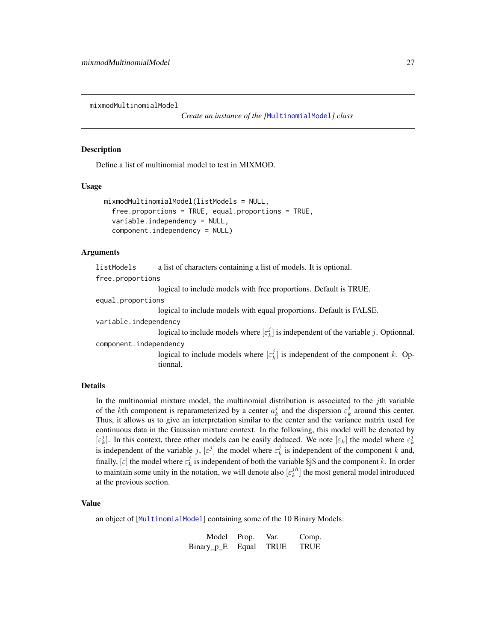<span id="page-26-0"></span>mixmodMultinomialModel

*Create an instance of the [*[MultinomialModel](#page-34-1)*] class*

#### Description

Define a list of multinomial model to test in MIXMOD.

#### Usage

```
mixmodMultinomialModel(listModels = NULL,
  free.proportions = TRUE, equal.proportions = TRUE,
  variable.independency = NULL,
  component.independency = NULL)
```
#### Arguments

| listModels             | a list of characters containing a list of models. It is optional.                                |
|------------------------|--------------------------------------------------------------------------------------------------|
| free.proportions       |                                                                                                  |
|                        | logical to include models with free proportions. Default is TRUE.                                |
| equal.proportions      |                                                                                                  |
|                        | logical to include models with equal proportions. Default is FALSE.                              |
| variable.independency  |                                                                                                  |
|                        | logical to include models where $[\varepsilon_k^j]$ is independent of the variable j. Optionnal. |
| component.independency |                                                                                                  |
|                        | logical to include models where $[\varepsilon_k^j]$ is independent of the component k. Op-       |
|                        | tionnal.                                                                                         |
|                        |                                                                                                  |

## Details

In the multinomial mixture model, the multinomial distribution is associated to the  $j$ th variable of the kth component is reparameterized by a center  $a_k^j$  and the dispersion  $\varepsilon_k^j$  around this center. Thus, it allows us to give an interpretation similar to the center and the variance matrix used for continuous data in the Gaussian mixture context. In the following, this model will be denoted by  $[\varepsilon_k^j]$ . In this context, three other models can be easily deduced. We note  $[\varepsilon_k]$  the model where  $\varepsilon_k^j$ is independent of the variable j,  $[\varepsilon^j]$  the model where  $\varepsilon_k^j$  is independent of the component k and, finally,  $[\varepsilon]$  the model where  $\varepsilon_k^j$  is independent of both the variable \$j\$ and the component k. In order to maintain some unity in the notation, we will denote also  $[\varepsilon_k^{jh}]$  the most general model introduced at the previous section.

## Value

an object of [[MultinomialModel](#page-34-1)] containing some of the 10 Binary Models:

| Model Prop.      | Var.        | Comp.       |
|------------------|-------------|-------------|
| Binary_p_E Equal | <b>TRUE</b> | <b>TRUE</b> |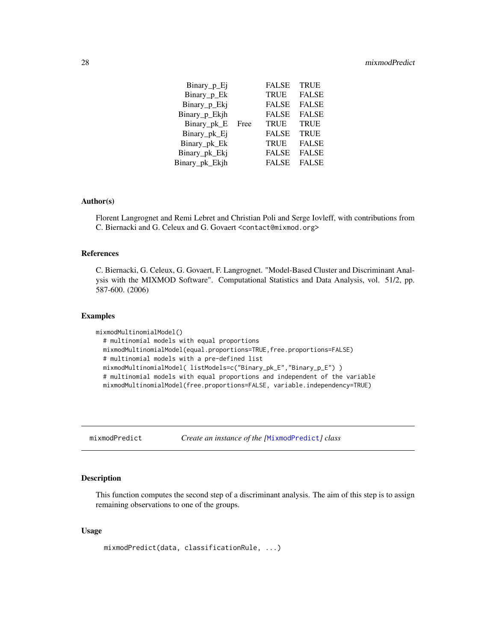<span id="page-27-0"></span>

| $Binary_p_E$   |      | <b>FALSE</b> | <b>TRUE</b>  |
|----------------|------|--------------|--------------|
| Binary_p_Ek    |      | <b>TRUE</b>  | <b>FALSE</b> |
| Binary_p_Ekj   |      | <b>FALSE</b> | <b>FALSE</b> |
| Binary_p_Ekjh  |      | <b>FALSE</b> | <b>FALSE</b> |
| Binary_pk_E    | Free | <b>TRUE</b>  | <b>TRUE</b>  |
| Binary_pk_Ej   |      | <b>FALSE</b> | <b>TRUE</b>  |
| Binary_pk_Ek   |      | <b>TRUE</b>  | <b>FALSE</b> |
| Binary_pk_Ekj  |      | <b>FALSE</b> | <b>FALSE</b> |
| Binary pk Ekjh |      | <b>FALSE</b> | <b>FALSE</b> |
|                |      |              |              |

#### Author(s)

Florent Langrognet and Remi Lebret and Christian Poli and Serge Iovleff, with contributions from C. Biernacki and G. Celeux and G. Govaert <contact@mixmod.org>

## References

C. Biernacki, G. Celeux, G. Govaert, F. Langrognet. "Model-Based Cluster and Discriminant Analysis with the MIXMOD Software". Computational Statistics and Data Analysis, vol. 51/2, pp. 587-600. (2006)

#### Examples

```
mixmodMultinomialModel()
  # multinomial models with equal proportions
  mixmodMultinomialModel(equal.proportions=TRUE,free.proportions=FALSE)
  # multinomial models with a pre-defined list
  mixmodMultinomialModel( listModels=c("Binary_pk_E","Binary_p_E") )
  # multinomial models with equal proportions and independent of the variable
  mixmodMultinomialModel(free.proportions=FALSE, variable.independency=TRUE)
```
mixmodPredict *Create an instance of the [*[MixmodPredict](#page-28-1)*] class*

#### Description

This function computes the second step of a discriminant analysis. The aim of this step is to assign remaining observations to one of the groups.

## Usage

```
mixmodPredict(data, classificationRule, ...)
```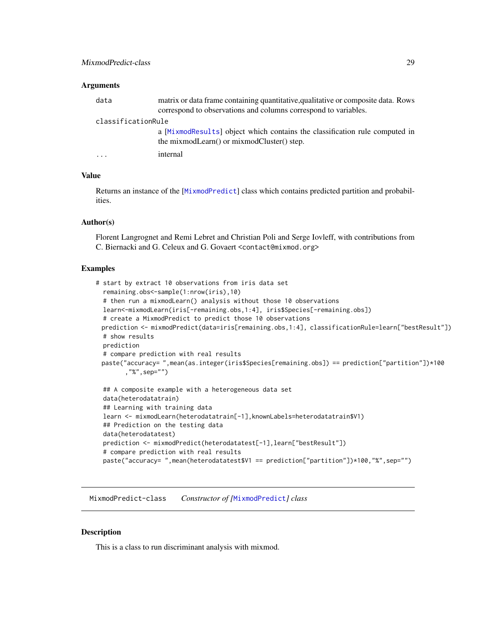#### <span id="page-28-0"></span>**Arguments**

| data               | matrix or data frame containing quantitative, qualitative or composite data. Rows                                         |
|--------------------|---------------------------------------------------------------------------------------------------------------------------|
|                    | correspond to observations and columns correspond to variables.                                                           |
| classificationRule |                                                                                                                           |
|                    | a [MixmodResults] object which contains the classification rule computed in<br>the mixmodLearn() or mixmodCluster() step. |
| .                  | internal                                                                                                                  |
|                    |                                                                                                                           |

#### Value

Returns an instance of the [[MixmodPredict](#page-28-1)] class which contains predicted partition and probabilities.

#### Author(s)

Florent Langrognet and Remi Lebret and Christian Poli and Serge Iovleff, with contributions from C. Biernacki and G. Celeux and G. Govaert <contact@mixmod.org>

#### Examples

```
# start by extract 10 observations from iris data set
 remaining.obs<-sample(1:nrow(iris),10)
 # then run a mixmodLearn() analysis without those 10 observations
 learn<-mixmodLearn(iris[-remaining.obs,1:4], iris$Species[-remaining.obs])
 # create a MixmodPredict to predict those 10 observations
 prediction <- mixmodPredict(data=iris[remaining.obs,1:4], classificationRule=learn["bestResult"])
 # show results
 prediction
 # compare prediction with real results
 paste("accuracy= ",mean(as.integer(iris$Species[remaining.obs]) == prediction["partition"])*100
        ,"%",sep="")
 ## A composite example with a heterogeneous data set
 data(heterodatatrain)
 ## Learning with training data
 learn <- mixmodLearn(heterodatatrain[-1],knownLabels=heterodatatrain$V1)
 ## Prediction on the testing data
 data(heterodatatest)
 prediction <- mixmodPredict(heterodatatest[-1],learn["bestResult"])
 # compare prediction with real results
 paste("accuracy= ",mean(heterodatatest$V1 == prediction["partition"])*100,"%",sep="")
```
<span id="page-28-1"></span>MixmodPredict-class *Constructor of [*[MixmodPredict](#page-28-1)*] class*

#### Description

This is a class to run discriminant analysis with mixmod.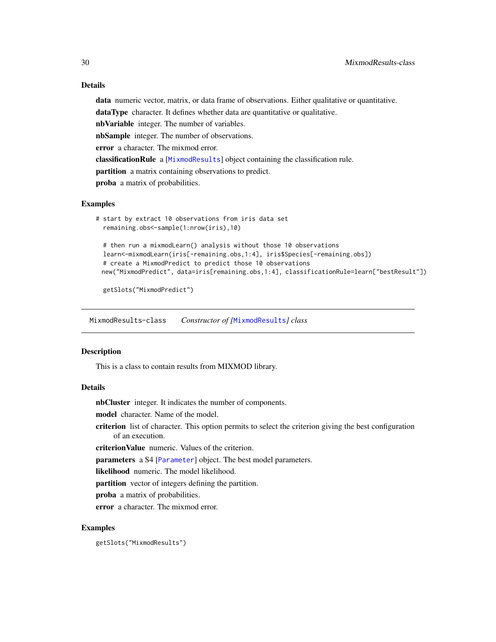## <span id="page-29-0"></span>Details

data numeric vector, matrix, or data frame of observations. Either qualitative or quantitative.

dataType character. It defines whether data are quantitative or qualitative.

nbVariable integer. The number of variables.

nbSample integer. The number of observations.

error a character. The mixmod error.

classificationRule a [[MixmodResults](#page-29-1)] object containing the classification rule.

partition a matrix containing observations to predict.

proba a matrix of probabilities.

## Examples

```
# start by extract 10 observations from iris data set
 remaining.obs<-sample(1:nrow(iris),10)
 # then run a mixmodLearn() analysis without those 10 observations
 learn<-mixmodLearn(iris[-remaining.obs,1:4], iris$Species[-remaining.obs])
 # create a MixmodPredict to predict those 10 observations
 new("MixmodPredict", data=iris[remaining.obs,1:4], classificationRule=learn["bestResult"])
```
getSlots("MixmodPredict")

<span id="page-29-1"></span>MixmodResults-class *Constructor of [*[MixmodResults](#page-29-1)*] class*

## **Description**

This is a class to contain results from MIXMOD library.

## Details

nbCluster integer. It indicates the number of components.

model character. Name of the model.

criterion list of character. This option permits to select the criterion giving the best configuration of an execution.

criterionValue numeric. Values of the criterion.

parameters a S4 [[Parameter](#page-35-1)] object. The best model parameters.

likelihood numeric. The model likelihood.

partition vector of integers defining the partition.

proba a matrix of probabilities.

error a character. The mixmod error.

## Examples

getSlots("MixmodResults")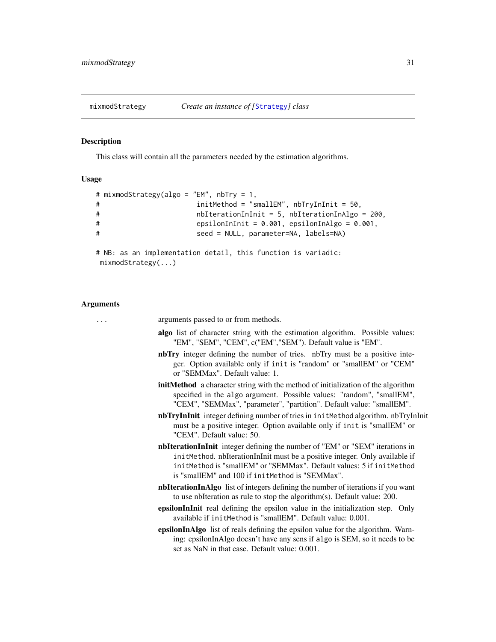<span id="page-30-0"></span>

This class will contain all the parameters needed by the estimation algorithms.

#### Usage

```
# mixmodStrategy(algo = "EM", nbTry = 1,
# initMethod = "smallEM", nbTryInInit = 50,
# nbIterationInInit = 5, nbIterationInAlgo = 200,
# epsilonInInit = 0.001, epsilonInAlgo = 0.001,
# seed = NULL, parameter=NA, labels=NA)
# NB: as an implementation detail, this function is variadic:
```

```
mixmodStrategy(...)
```
#### Arguments

... arguments passed to or from methods. algo list of character string with the estimation algorithm. Possible values: "EM", "SEM", "CEM", c("EM","SEM"). Default value is "EM". nbTry integer defining the number of tries. nbTry must be a positive integer. Option available only if init is "random" or "smallEM" or "CEM" or "SEMMax". Default value: 1. initMethod a character string with the method of initialization of the algorithm specified in the algo argument. Possible values: "random", "smallEM", "CEM", "SEMMax", "parameter", "partition". Default value: "smallEM". nbTryInInit integer defining number of tries in initMethod algorithm. nbTryInInit must be a positive integer. Option available only if init is "smallEM" or "CEM". Default value: 50. nbIterationInInit integer defining the number of "EM" or "SEM" iterations in initMethod. nbIterationInInit must be a positive integer. Only available if initMethod is "smallEM" or "SEMMax". Default values: 5 if initMethod is "smallEM" and 100 if initMethod is "SEMMax". nbIterationInAlgo list of integers defining the number of iterations if you want to use nbIteration as rule to stop the algorithm(s). Default value: 200. epsilonInInit real defining the epsilon value in the initialization step. Only available if initMethod is "smallEM". Default value: 0.001. epsilonInAlgo list of reals defining the epsilon value for the algorithm. Warning: epsilonInAlgo doesn't have any sens if algo is SEM, so it needs to be set as NaN in that case. Default value: 0.001.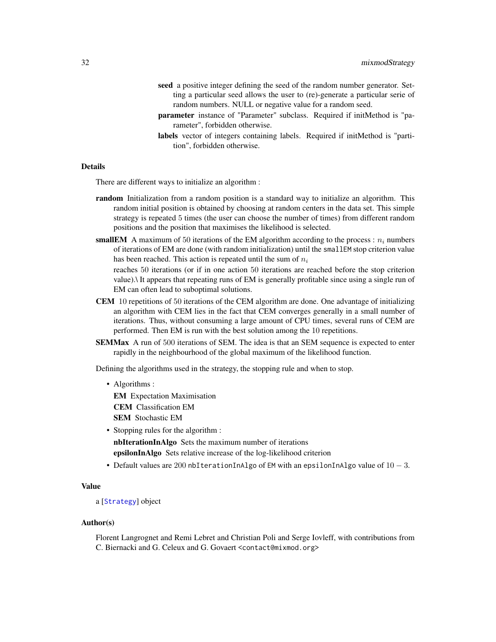- <span id="page-31-0"></span>seed a positive integer defining the seed of the random number generator. Setting a particular seed allows the user to (re)-generate a particular serie of random numbers. NULL or negative value for a random seed.
- parameter instance of "Parameter" subclass. Required if initMethod is "parameter", forbidden otherwise.
- labels vector of integers containing labels. Required if initMethod is "partition", forbidden otherwise.

#### Details

There are different ways to initialize an algorithm :

- **random** Initialization from a random position is a standard way to initialize an algorithm. This random initial position is obtained by choosing at random centers in the data set. This simple strategy is repeated 5 times (the user can choose the number of times) from different random positions and the position that maximises the likelihood is selected.
- **smallEM** A maximum of 50 iterations of the EM algorithm according to the process :  $n_i$  numbers of iterations of EM are done (with random initialization) until the smallEM stop criterion value has been reached. This action is repeated until the sum of  $n_i$

reaches 50 iterations (or if in one action 50 iterations are reached before the stop criterion value).\ It appears that repeating runs of EM is generally profitable since using a single run of EM can often lead to suboptimal solutions.

- CEM 10 repetitions of 50 iterations of the CEM algorithm are done. One advantage of initializing an algorithm with CEM lies in the fact that CEM converges generally in a small number of iterations. Thus, without consuming a large amount of CPU times, several runs of CEM are performed. Then EM is run with the best solution among the 10 repetitions.
- SEMMax A run of 500 iterations of SEM. The idea is that an SEM sequence is expected to enter rapidly in the neighbourhood of the global maximum of the likelihood function.

Defining the algorithms used in the strategy, the stopping rule and when to stop.

• Algorithms :

EM Expectation Maximisation CEM Classification EM SEM Stochastic EM

- Stopping rules for the algorithm : nbIterationInAlgo Sets the maximum number of iterations epsilonInAlgo Sets relative increase of the log-likelihood criterion
- Default values are 200 nbIterationInAlgo of EM with an epsilonInAlgo value of  $10 3$ .

## Value

a [[Strategy](#page-41-1)] object

#### Author(s)

Florent Langrognet and Remi Lebret and Christian Poli and Serge Iovleff, with contributions from C. Biernacki and G. Celeux and G. Govaert <contact@mixmod.org>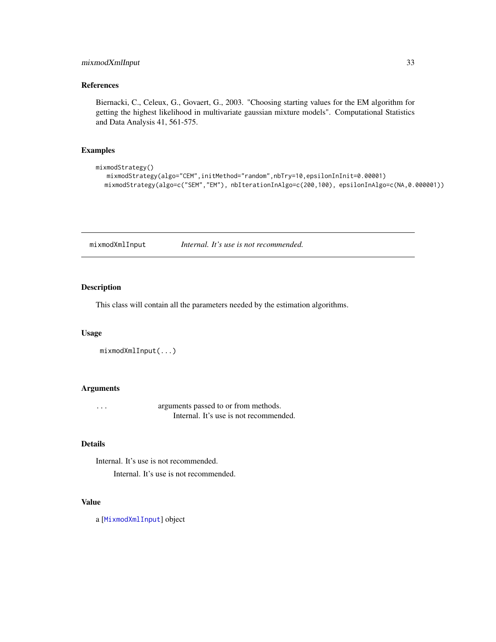## <span id="page-32-0"></span>mixmodXmlInput 33

## References

Biernacki, C., Celeux, G., Govaert, G., 2003. "Choosing starting values for the EM algorithm for getting the highest likelihood in multivariate gaussian mixture models". Computational Statistics and Data Analysis 41, 561-575.

#### Examples

```
mixmodStrategy()
  mixmodStrategy(algo="CEM",initMethod="random",nbTry=10,epsilonInInit=0.00001)
  mixmodStrategy(algo=c("SEM","EM"), nbIterationInAlgo=c(200,100), epsilonInAlgo=c(NA,0.000001))
```
mixmodXmlInput *Internal. It's use is not recommended.*

## Description

This class will contain all the parameters needed by the estimation algorithms.

#### Usage

```
mixmodXmlInput(...)
```
## Arguments

... arguments passed to or from methods. Internal. It's use is not recommended.

#### Details

Internal. It's use is not recommended. Internal. It's use is not recommended.

## Value

a [[MixmodXmlInput](#page-33-2)] object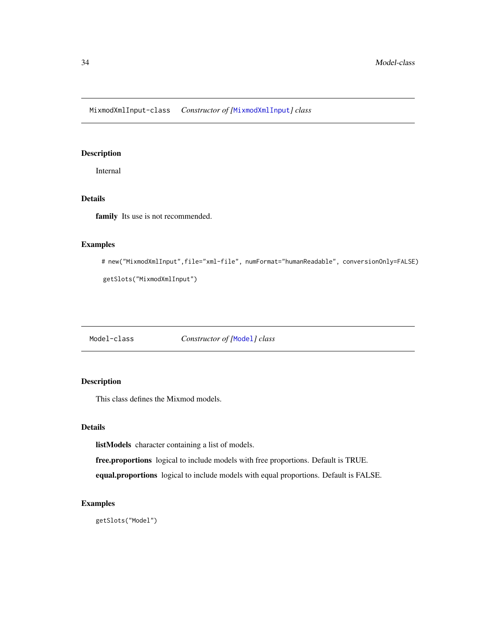<span id="page-33-2"></span><span id="page-33-0"></span>MixmodXmlInput-class *Constructor of [*[MixmodXmlInput](#page-33-2)*] class*

## Description

Internal

## Details

family Its use is not recommended.

## Examples

```
# new("MixmodXmlInput",file="xml-file", numFormat="humanReadable", conversionOnly=FALSE)
```

```
getSlots("MixmodXmlInput")
```
<span id="page-33-1"></span>Model-class *Constructor of [*[Model](#page-33-1)*] class*

## Description

This class defines the Mixmod models.

## Details

listModels character containing a list of models.

free.proportions logical to include models with free proportions. Default is TRUE.

equal.proportions logical to include models with equal proportions. Default is FALSE.

## Examples

getSlots("Model")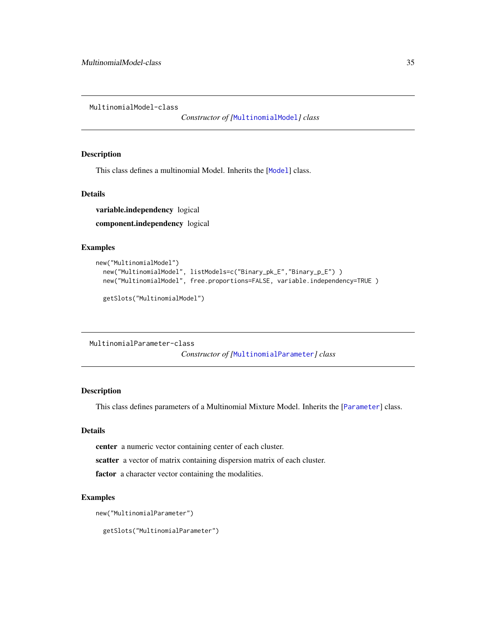<span id="page-34-1"></span><span id="page-34-0"></span>MultinomialModel-class

*Constructor of [*[MultinomialModel](#page-34-1)*] class*

#### Description

This class defines a multinomial [Model](#page-33-1). Inherits the [Model] class.

#### Details

variable.independency logical component.independency logical

#### Examples

```
new("MultinomialModel")
 new("MultinomialModel", listModels=c("Binary_pk_E","Binary_p_E") )
 new("MultinomialModel", free.proportions=FALSE, variable.independency=TRUE )
 getSlots("MultinomialModel")
```

```
MultinomialParameter-class
```
*Constructor of [*[MultinomialParameter](#page-34-2)*] class*

#### Description

This class defines parameters of a Multinomial Mixture Model. Inherits the [[Parameter](#page-35-1)] class.

## Details

center a numeric vector containing center of each cluster.

scatter a vector of matrix containing dispersion matrix of each cluster.

factor a character vector containing the modalities.

#### Examples

```
new("MultinomialParameter")
```
getSlots("MultinomialParameter")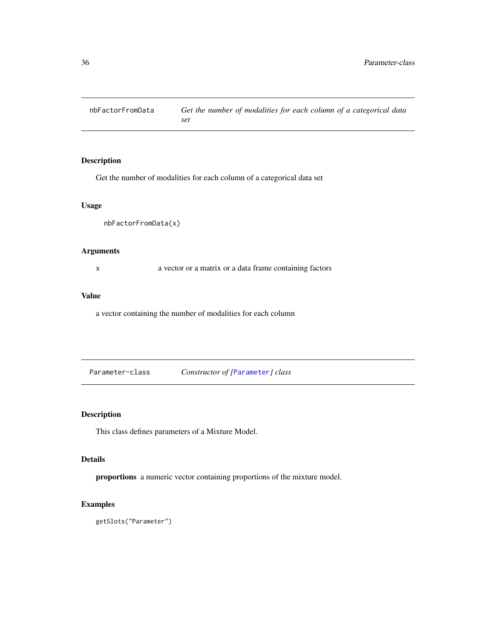<span id="page-35-0"></span>

Get the number of modalities for each column of a categorical data set

## Usage

nbFactorFromData(x)

## Arguments

x a vector or a matrix or a data frame containing factors

## Value

a vector containing the number of modalities for each column

<span id="page-35-1"></span>Parameter-class *Constructor of [*[Parameter](#page-35-1)*] class*

## Description

This class defines parameters of a Mixture Model.

## Details

proportions a numeric vector containing proportions of the mixture model.

## Examples

getSlots("Parameter")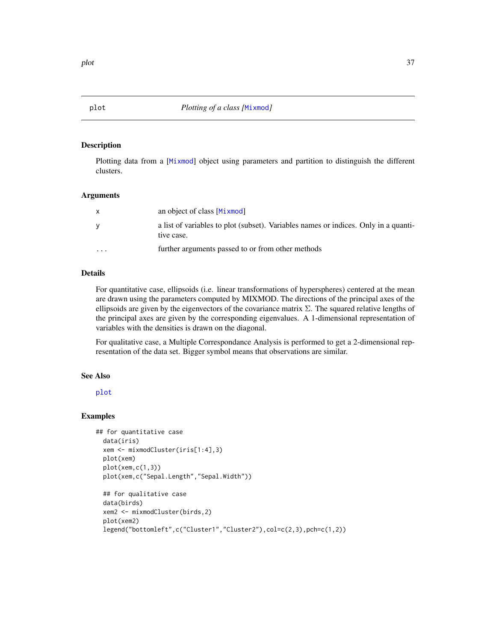Plotting data from a [[Mixmod](#page-16-1)] object using parameters and partition to distinguish the different clusters.

#### Arguments

|          | an object of class [Mixmod]                                                                       |
|----------|---------------------------------------------------------------------------------------------------|
|          | a list of variables to plot (subset). Variables names or indices. Only in a quanti-<br>tive case. |
| $\cdots$ | further arguments passed to or from other methods                                                 |

## Details

For quantitative case, ellipsoids (i.e. linear transformations of hyperspheres) centered at the mean are drawn using the parameters computed by MIXMOD. The directions of the principal axes of the ellipsoids are given by the eigenvectors of the covariance matrix  $\Sigma$ . The squared relative lengths of the principal axes are given by the corresponding eigenvalues. A 1-dimensional representation of variables with the densities is drawn on the diagonal.

For qualitative case, a Multiple Correspondance Analysis is performed to get a 2-dimensional representation of the data set. Bigger symbol means that observations are similar.

#### See Also

[plot](#page-36-1)

## Examples

```
## for quantitative case
 data(iris)
 xem <- mixmodCluster(iris[1:4],3)
 plot(xem)
 plot(xem,c(1,3))
 plot(xem,c("Sepal.Length","Sepal.Width"))
 ## for qualitative case
```

```
data(birds)
xem2 <- mixmodCluster(birds,2)
plot(xem2)
legend("bottomleft",c("Cluster1","Cluster2"),col=c(2,3),pch=c(1,2))
```
<span id="page-36-0"></span>plot the state of the state of the state of the state of the state of the state of the state of the state of the state of the state of the state of the state of the state of the state of the state of the state of the state

<span id="page-36-1"></span>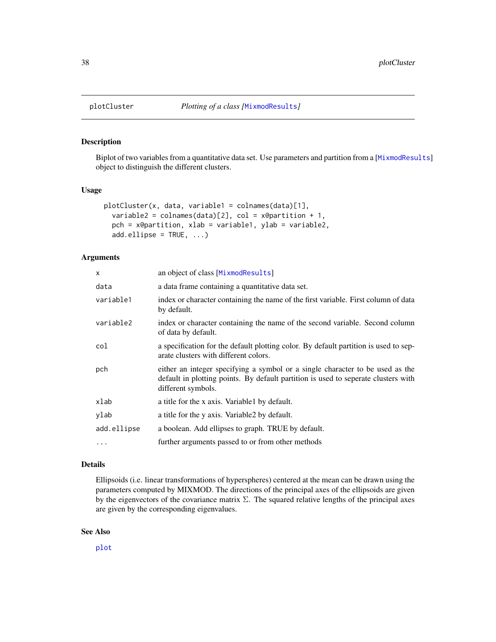<span id="page-37-0"></span>

Biplot of two variables from a quantitative data set. Use parameters and partition from a [[MixmodResults](#page-29-1)] object to distinguish the different clusters.

#### Usage

```
plotCluster(x, data, variable1 = colnames(data)[1],
  variable2 = colnames(data)[2], col = x@partition + 1,
  pch = x@partition, xlab = variable1, ylab = variable2,
  add.ellipse = TRUE, \ldots)
```
#### Arguments

| X           | an object of class [MixmodResults]                                                                                                                                                        |
|-------------|-------------------------------------------------------------------------------------------------------------------------------------------------------------------------------------------|
| data        | a data frame containing a quantitative data set.                                                                                                                                          |
| variable1   | index or character containing the name of the first variable. First column of data<br>by default.                                                                                         |
| variable2   | index or character containing the name of the second variable. Second column<br>of data by default.                                                                                       |
| col         | a specification for the default plotting color. By default partition is used to sep-<br>arate clusters with different colors.                                                             |
| pch         | either an integer specifying a symbol or a single character to be used as the<br>default in plotting points. By default partition is used to seperate clusters with<br>different symbols. |
| xlab        | a title for the x axis. Variable 1 by default.                                                                                                                                            |
| ylab        | a title for the y axis. Variable2 by default.                                                                                                                                             |
| add.ellipse | a boolean. Add ellipses to graph. TRUE by default.                                                                                                                                        |
| $\cdots$    | further arguments passed to or from other methods                                                                                                                                         |

#### Details

Ellipsoids (i.e. linear transformations of hyperspheres) centered at the mean can be drawn using the parameters computed by MIXMOD. The directions of the principal axes of the ellipsoids are given by the eigenvectors of the covariance matrix  $\Sigma$ . The squared relative lengths of the principal axes are given by the corresponding eigenvalues.

## See Also

[plot](#page-36-1)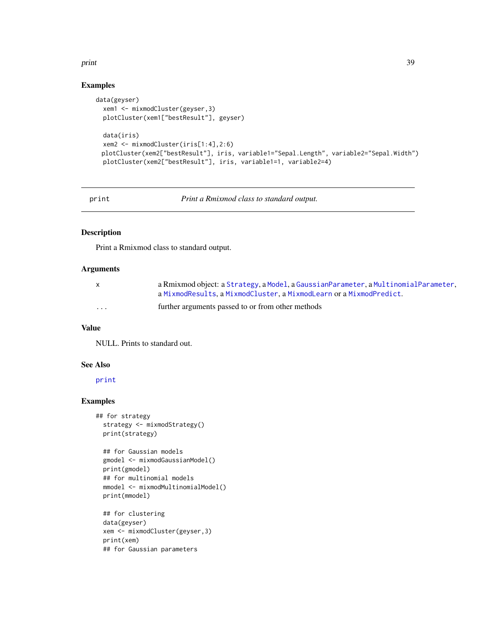#### <span id="page-38-0"></span>print 39

## Examples

```
data(geyser)
  xem1 <- mixmodCluster(geyser,3)
  plotCluster(xem1["bestResult"], geyser)
  data(iris)
  xem2 <- mixmodCluster(iris[1:4],2:6)
 plotCluster(xem2["bestResult"], iris, variable1="Sepal.Length", variable2="Sepal.Width")
  plotCluster(xem2["bestResult"], iris, variable1=1, variable2=4)
```
print *Print a Rmixmod class to standard output.*

## Description

Print a Rmixmod class to standard output.

#### Arguments

| <b>X</b> | a Rmixmod object: a Strategy, a Model, a Gaussian Parameter, a Multinomial Parameter, |
|----------|---------------------------------------------------------------------------------------|
|          | a MixmodResults.a MixmodCluster.a MixmodLearn or a MixmodPredict.                     |
| .        | further arguments passed to or from other methods                                     |

## Value

NULL. Prints to standard out.

## See Also

[print](#page-38-1)

```
## for strategy
 strategy <- mixmodStrategy()
 print(strategy)
```

```
## for Gaussian models
gmodel <- mixmodGaussianModel()
print(gmodel)
## for multinomial models
mmodel <- mixmodMultinomialModel()
print(mmodel)
## for clustering
```

```
data(geyser)
xem <- mixmodCluster(geyser,3)
print(xem)
## for Gaussian parameters
```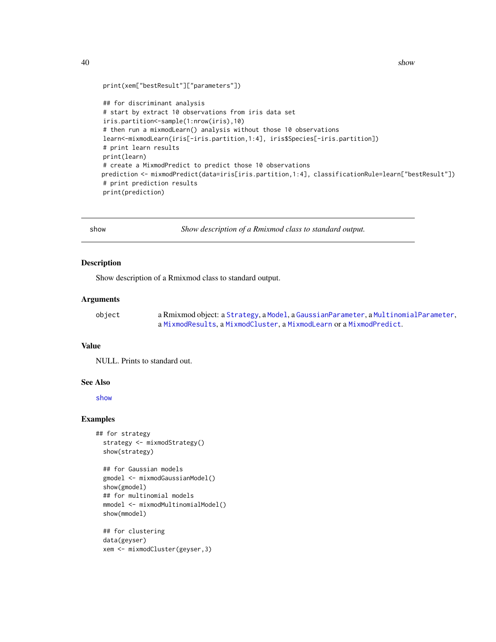<span id="page-39-0"></span>40 shows that the state of the state of the shows that the state of the state of the shows that the shows that  $\frac{1}{2}$ 

```
print(xem["bestResult"]["parameters"])
## for discriminant analysis
# start by extract 10 observations from iris data set
iris.partition<-sample(1:nrow(iris),10)
# then run a mixmodLearn() analysis without those 10 observations
learn<-mixmodLearn(iris[-iris.partition,1:4], iris$Species[-iris.partition])
# print learn results
print(learn)
# create a MixmodPredict to predict those 10 observations
prediction <- mixmodPredict(data=iris[iris.partition,1:4], classificationRule=learn["bestResult"])
# print prediction results
print(prediction)
```
show *Show description of a Rmixmod class to standard output.*

## Description

Show description of a Rmixmod class to standard output.

#### Arguments

| object | a Rmixmod object: a Strategy, a Model, a Gaussian Parameter, a Multinomial Parameter, |
|--------|---------------------------------------------------------------------------------------|
|        | a MixmodResults, a MixmodCluster, a MixmodLearn or a MixmodPredict.                   |

#### Value

NULL. Prints to standard out.

#### See Also

[show](#page-39-1)

```
## for strategy
 strategy <- mixmodStrategy()
 show(strategy)
```

```
## for Gaussian models
gmodel <- mixmodGaussianModel()
show(gmodel)
## for multinomial models
mmodel <- mixmodMultinomialModel()
show(mmodel)
```

```
## for clustering
data(geyser)
xem <- mixmodCluster(geyser,3)
```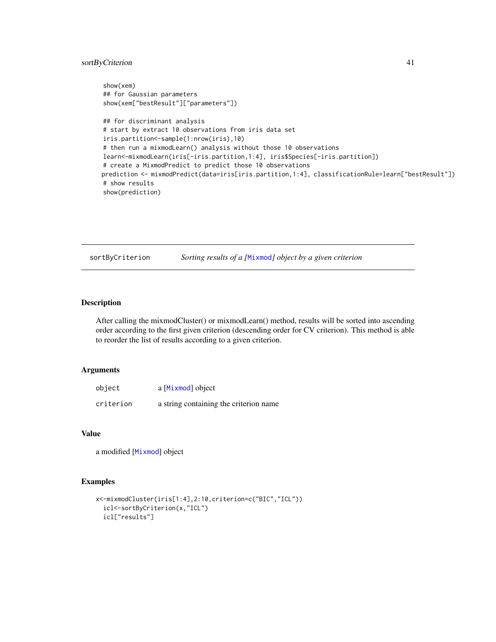## <span id="page-40-0"></span>sortByCriterion 41

```
show(xem)
## for Gaussian parameters
show(xem["bestResult"]["parameters"])
## for discriminant analysis
# start by extract 10 observations from iris data set
iris.partition<-sample(1:nrow(iris),10)
# then run a mixmodLearn() analysis without those 10 observations
learn<-mixmodLearn(iris[-iris.partition,1:4], iris$Species[-iris.partition])
# create a MixmodPredict to predict those 10 observations
prediction <- mixmodPredict(data=iris[iris.partition,1:4], classificationRule=learn["bestResult"])
# show results
show(prediction)
```
sortByCriterion *Sorting results of a [*[Mixmod](#page-16-1)*] object by a given criterion*

## Description

After calling the mixmodCluster() or mixmodLearn() method, results will be sorted into ascending order according to the first given criterion (descending order for CV criterion). This method is able to reorder the list of results according to a given criterion.

#### Arguments

| object    | a [Mixmod] object                       |
|-----------|-----------------------------------------|
| criterion | a string containing the criterion name. |

## Value

a modified [[Mixmod](#page-16-1)] object

```
x<-mixmodCluster(iris[1:4],2:10,criterion=c("BIC","ICL"))
  icl<-sortByCriterion(x,"ICL")
  icl["results"]
```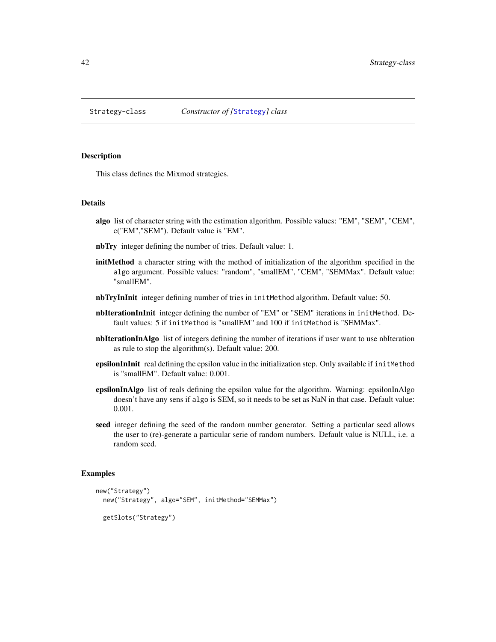<span id="page-41-1"></span><span id="page-41-0"></span>

This class defines the Mixmod strategies.

#### Details

- algo list of character string with the estimation algorithm. Possible values: "EM", "SEM", "CEM", c("EM","SEM"). Default value is "EM".
- nbTry integer defining the number of tries. Default value: 1.
- initMethod a character string with the method of initialization of the algorithm specified in the algo argument. Possible values: "random", "smallEM", "CEM", "SEMMax". Default value: "smallEM".
- nbTryInInit integer defining number of tries in initMethod algorithm. Default value: 50.
- nbIterationInInit integer defining the number of "EM" or "SEM" iterations in initMethod. Default values: 5 if initMethod is "smallEM" and 100 if initMethod is "SEMMax".
- nbIterationInAlgo list of integers defining the number of iterations if user want to use nbIteration as rule to stop the algorithm(s). Default value: 200.
- epsilonInInit real defining the epsilon value in the initialization step. Only available if initMethod is "smallEM". Default value: 0.001.
- epsilonInAlgo list of reals defining the epsilon value for the algorithm. Warning: epsilonInAlgo doesn't have any sens if algo is SEM, so it needs to be set as NaN in that case. Default value: 0.001.
- seed integer defining the seed of the random number generator. Setting a particular seed allows the user to (re)-generate a particular serie of random numbers. Default value is NULL, i.e. a random seed.

```
new("Strategy")
 new("Strategy", algo="SEM", initMethod="SEMMax")
 getSlots("Strategy")
```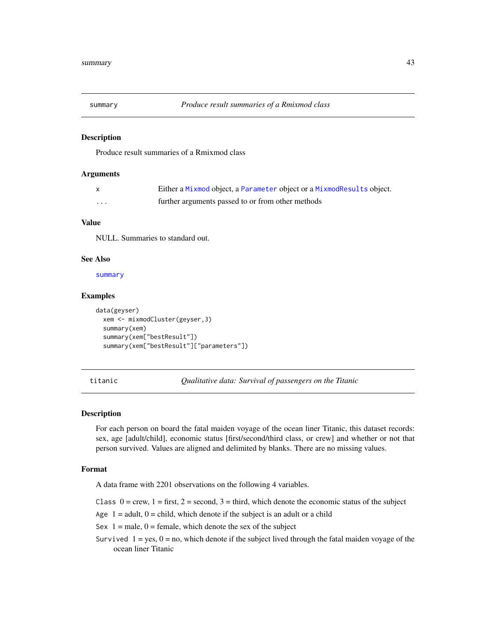<span id="page-42-1"></span><span id="page-42-0"></span>

Produce result summaries of a Rmixmod class

## Arguments

|         | Either a Mixmod object, a Parameter object or a MixmodResults object. |
|---------|-----------------------------------------------------------------------|
| $\cdot$ | further arguments passed to or from other methods                     |

## Value

NULL. Summaries to standard out.

## See Also

[summary](#page-42-1)

## Examples

```
data(geyser)
 xem <- mixmodCluster(geyser,3)
 summary(xem)
 summary(xem["bestResult"])
 summary(xem["bestResult"]["parameters"])
```
titanic *Qualitative data: Survival of passengers on the Titanic*

## Description

For each person on board the fatal maiden voyage of the ocean liner Titanic, this dataset records: sex, age [adult/child], economic status [first/second/third class, or crew] and whether or not that person survived. Values are aligned and delimited by blanks. There are no missing values.

#### Format

A data frame with 2201 observations on the following 4 variables.

- Class  $0 =$  crew,  $1 =$  first,  $2 =$  second,  $3 =$  third, which denote the economic status of the subject
- Age  $1 =$  adult,  $0 =$  child, which denote if the subject is an adult or a child
- Sex  $1 =$  male,  $0 =$  female, which denote the sex of the subject
- Survived  $1 = yes$ ,  $0 = no$ , which denote if the subject lived through the fatal maiden voyage of the ocean liner Titanic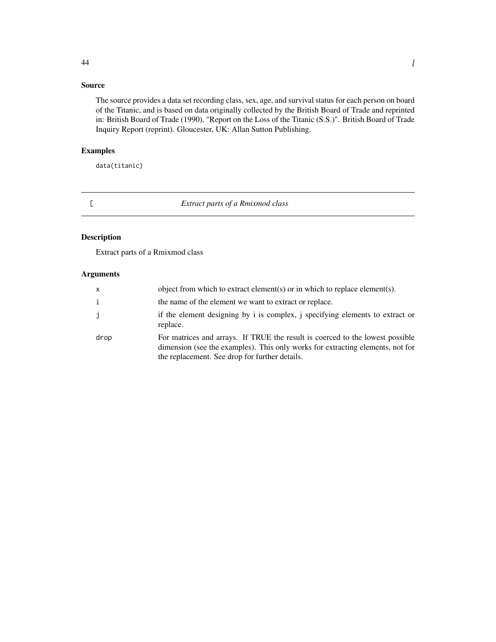## <span id="page-43-0"></span>Source

The source provides a data set recording class, sex, age, and survival status for each person on board of the Titanic, and is based on data originally collected by the British Board of Trade and reprinted in: British Board of Trade (1990), "Report on the Loss of the Titanic (S.S.)". British Board of Trade Inquiry Report (reprint). Gloucester, UK: Allan Sutton Publishing.

## Examples

data(titanic)

## [ *Extract parts of a Rmixmod class*

## Description

Extract parts of a Rmixmod class

## Arguments

| $\mathsf{X}$ | object from which to extract element(s) or in which to replace element(s).                                                                                                                                        |
|--------------|-------------------------------------------------------------------------------------------------------------------------------------------------------------------------------------------------------------------|
| i            | the name of the element we want to extract or replace.                                                                                                                                                            |
|              | if the element designing by i is complex, j specifying elements to extract or<br>replace.                                                                                                                         |
| drop         | For matrices and arrays. If TRUE the result is coerced to the lowest possible<br>dimension (see the examples). This only works for extracting elements, not for<br>the replacement. See drop for further details. |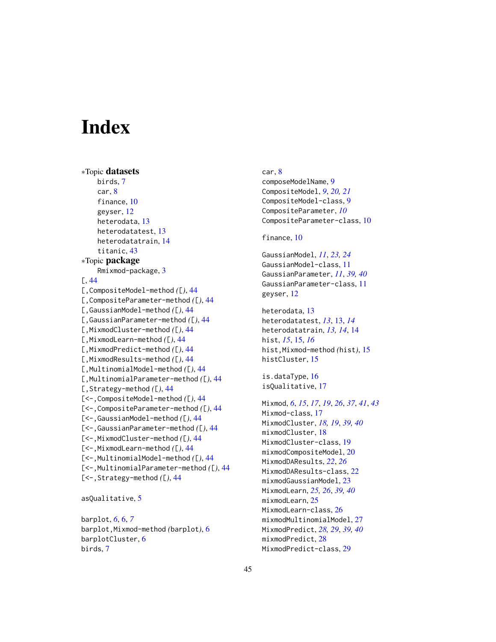# <span id="page-44-0"></span>**Index**

```
∗Topic datasets
    birds, 7
    car, 8
    finance, 10
    geyser, 12
    heterodata, 13
    heterodatatest, 13
    heterodatatrain, 14
    titanic, 43
∗Topic package
    Rmixmod-package, 3
[, 44
[,CompositeModel-method ([), 44
[,CompositeParameter-method ([), 44
[,GaussianModel-method ([), 44
[,GaussianParameter-method ([), 44
[,MixmodCluster-method ([), 44
[,MixmodLearn-method ([), 44
[,MixmodPredict-method ([), 44
[,MixmodResults-method ([), 44
[,MultinomialModel-method ([), 44
[,MultinomialParameter-method ([), 44
[,Strategy-method ([), 44
[<-,CompositeModel-method ([), 44
[<-,CompositeParameter-method ([), 44
[<-,GaussianModel-method ([), 44
[<-,GaussianParameter-method ([), 44
[<-,MixmodCluster-method ([), 44
[<-,MixmodLearn-method ([), 44
[<-,MultinomialModel-method ([), 44
[<-,MultinomialParameter-method ([), 44
[<-,Strategy-method ([), 44
```
asQualitative, [5](#page-4-0)

barplot, *[6](#page-5-0)*, [6,](#page-5-0) *[7](#page-6-0)* barplot,Mixmod-method *(*barplot*)*, [6](#page-5-0) barplotCluster, [6](#page-5-0) birds, [7](#page-6-0)

car, [8](#page-7-0) composeModelName, [9](#page-8-0) CompositeModel, *[9](#page-8-0)*, *[20,](#page-19-0) [21](#page-20-0)* CompositeModel-class, [9](#page-8-0) CompositeParameter, *[10](#page-9-0)* CompositeParameter-class, [10](#page-9-0)

## finance, [10](#page-9-0)

GaussianModel, *[11](#page-10-0)*, *[23,](#page-22-0) [24](#page-23-0)* GaussianModel-class, [11](#page-10-0) GaussianParameter, *[11](#page-10-0)*, *[39,](#page-38-0) [40](#page-39-0)* GaussianParameter-class, [11](#page-10-0) geyser, [12](#page-11-0)

heterodata, [13](#page-12-0) heterodatatest, *[13](#page-12-0)*, [13,](#page-12-0) *[14](#page-13-0)* heterodatatrain, *[13,](#page-12-0) [14](#page-13-0)*, [14](#page-13-0) hist, *[15](#page-14-0)*, [15,](#page-14-0) *[16](#page-15-0)* hist,Mixmod-method *(*hist*)*, [15](#page-14-0) histCluster, [15](#page-14-0)

is.dataType, [16](#page-15-0) isQualitative, [17](#page-16-0)

Mixmod, *[6](#page-5-0)*, *[15](#page-14-0)*, *[17](#page-16-0)*, *[19](#page-18-0)*, *[26](#page-25-0)*, *[37](#page-36-0)*, *[41](#page-40-0)*, *[43](#page-42-0)* Mixmod-class, [17](#page-16-0) MixmodCluster, *[18,](#page-17-0) [19](#page-18-0)*, *[39,](#page-38-0) [40](#page-39-0)* mixmodCluster, [18](#page-17-0) MixmodCluster-class, [19](#page-18-0) mixmodCompositeModel, [20](#page-19-0) MixmodDAResults, *[22](#page-21-0)*, *[26](#page-25-0)* MixmodDAResults-class, [22](#page-21-0) mixmodGaussianModel, [23](#page-22-0) MixmodLearn, *[25,](#page-24-0) [26](#page-25-0)*, *[39,](#page-38-0) [40](#page-39-0)* mixmodLearn, [25](#page-24-0) MixmodLearn-class, [26](#page-25-0) mixmodMultinomialModel, [27](#page-26-0) MixmodPredict, *[28,](#page-27-0) [29](#page-28-0)*, *[39,](#page-38-0) [40](#page-39-0)* mixmodPredict, [28](#page-27-0) MixmodPredict-class, [29](#page-28-0)